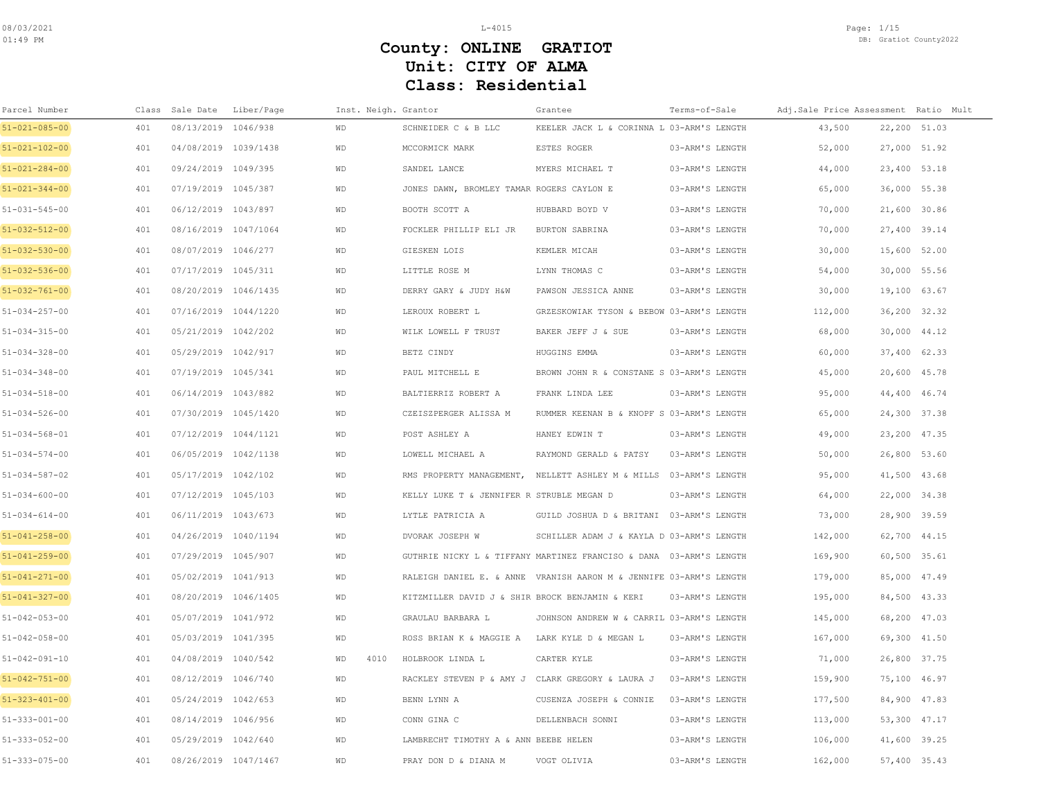| Parcel Number         |     | Class Sale Date      | Liber/Page | Inst. Neigh. Grantor |                                                  | Grantee                                                            | Terms-of-Sale   | Adj.Sale Price Assessment Ratio Mult |              |  |
|-----------------------|-----|----------------------|------------|----------------------|--------------------------------------------------|--------------------------------------------------------------------|-----------------|--------------------------------------|--------------|--|
| 51-021-085-00         | 401 | 08/13/2019 1046/938  |            | WD                   | SCHNEIDER C & B LLC                              | KEELER JACK L & CORINNA L 03-ARM'S LENGTH                          |                 | 43,500                               | 22,200 51.03 |  |
| 51-021-102-00         | 401 | 04/08/2019 1039/1438 |            | <b>WD</b>            | MCCORMICK MARK                                   | ESTES ROGER                                                        | 03-ARM'S LENGTH | 52,000                               | 27,000 51.92 |  |
| $51 - 021 - 284 - 00$ | 401 | 09/24/2019 1049/395  |            | <b>WD</b>            | SANDEL LANCE                                     | MYERS MICHAEL T                                                    | 03-ARM'S LENGTH | 44,000                               | 23,400 53.18 |  |
| $51 - 021 - 344 - 00$ | 401 | 07/19/2019 1045/387  |            | <b>WD</b>            | JONES DAWN, BROMLEY TAMAR ROGERS CAYLON E        |                                                                    | 03-ARM'S LENGTH | 65,000                               | 36,000 55.38 |  |
| $51 - 031 - 545 - 00$ | 401 | 06/12/2019 1043/897  |            | <b>WD</b>            | BOOTH SCOTT A                                    | HUBBARD BOYD V                                                     | 03-ARM'S LENGTH | 70,000                               | 21,600 30.86 |  |
| 51-032-512-00         | 401 | 08/16/2019 1047/1064 |            | <b>WD</b>            | FOCKLER PHILLIP ELI JR                           | BURTON SABRINA                                                     | 03-ARM'S LENGTH | 70,000                               | 27,400 39.14 |  |
| 51-032-530-00         | 401 | 08/07/2019 1046/277  |            | WD                   | GIESKEN LOIS                                     | KEMLER MICAH                                                       | 03-ARM'S LENGTH | 30,000                               | 15,600 52.00 |  |
| 51-032-536-00         | 401 | 07/17/2019 1045/311  |            | WD                   | LITTLE ROSE M                                    | LYNN THOMAS C                                                      | 03-ARM'S LENGTH | 54,000                               | 30,000 55.56 |  |
| $51 - 032 - 761 - 00$ | 401 | 08/20/2019 1046/1435 |            | <b>WD</b>            | DERRY GARY & JUDY H&W                            | PAWSON JESSICA ANNE                                                | 03-ARM'S LENGTH | 30,000                               | 19,100 63.67 |  |
| $51 - 034 - 257 - 00$ | 401 | 07/16/2019 1044/1220 |            | <b>WD</b>            | LEROUX ROBERT L                                  | GRZESKOWIAK TYSON & BEBOW 03-ARM'S LENGTH                          |                 | 112,000                              | 36,200 32.32 |  |
| 51-034-315-00         | 401 | 05/21/2019 1042/202  |            | WD                   | WILK LOWELL F TRUST                              | BAKER JEFF J & SUE                                                 | 03-ARM'S LENGTH | 68,000                               | 30,000 44.12 |  |
| $51 - 034 - 328 - 00$ | 401 | 05/29/2019 1042/917  |            | <b>WD</b>            | BETZ CINDY                                       | HUGGINS EMMA                                                       | 03-ARM'S LENGTH | 60,000                               | 37,400 62.33 |  |
| $51 - 034 - 348 - 00$ | 401 | 07/19/2019 1045/341  |            | WD                   | PAUL MITCHELL E                                  | BROWN JOHN R & CONSTANE S 03-ARM'S LENGTH                          |                 | 45,000                               | 20,600 45.78 |  |
| $51 - 034 - 518 - 00$ | 401 | 06/14/2019 1043/882  |            | <b>WD</b>            | BALTIERRIZ ROBERT A                              | FRANK LINDA LEE                                                    | 03-ARM'S LENGTH | 95,000                               | 44,400 46.74 |  |
| $51 - 034 - 526 - 00$ | 401 | 07/30/2019 1045/1420 |            | <b>WD</b>            | CZEISZPERGER ALISSA M                            | RUMMER KEENAN B & KNOPF S 03-ARM'S LENGTH                          |                 | 65,000                               | 24,300 37.38 |  |
| $51 - 034 - 568 - 01$ | 401 | 07/12/2019 1044/1121 |            | <b>WD</b>            | POST ASHLEY A                                    | HANEY EDWIN T                                                      | 03-ARM'S LENGTH | 49,000                               | 23,200 47.35 |  |
| $51 - 034 - 574 - 00$ | 401 | 06/05/2019 1042/1138 |            | <b>WD</b>            | LOWELL MICHAEL A                                 | RAYMOND GERALD & PATSY                                             | 03-ARM'S LENGTH | 50,000                               | 26,800 53.60 |  |
| $51 - 034 - 587 - 02$ | 401 | 05/17/2019 1042/102  |            | <b>WD</b>            |                                                  | RMS PROPERTY MANAGEMENT, NELLETT ASHLEY M & MILLS 03-ARM'S LENGTH  |                 | 95,000                               | 41,500 43.68 |  |
| $51 - 034 - 600 - 00$ | 401 | 07/12/2019 1045/103  |            | <b>WD</b>            | KELLY LUKE T & JENNIFER R STRUBLE MEGAN D        |                                                                    | 03-ARM'S LENGTH | 64,000                               | 22,000 34.38 |  |
| $51 - 034 - 614 - 00$ | 401 | 06/11/2019 1043/673  |            | WD                   | LYTLE PATRICIA A                                 | GUILD JOSHUA D & BRITANI 03-ARM'S LENGTH                           |                 | 73,000                               | 28,900 39.59 |  |
| $51 - 041 - 258 - 00$ | 401 | 04/26/2019 1040/1194 |            | WD                   | DVORAK JOSEPH W                                  | SCHILLER ADAM J & KAYLA D 03-ARM'S LENGTH                          |                 | 142,000                              | 62,700 44.15 |  |
| $51 - 041 - 259 - 00$ | 401 | 07/29/2019 1045/907  |            | <b>WD</b>            |                                                  | GUTHRIE NICKY L & TIFFANY MARTINEZ FRANCISO & DANA 03-ARM'S LENGTH |                 | 169,900                              | 60,500 35.61 |  |
| $51 - 041 - 271 - 00$ | 401 | 05/02/2019 1041/913  |            | <b>WD</b>            |                                                  | RALEIGH DANIEL E. & ANNE VRANISH AARON M & JENNIFE 03-ARM'S LENGTH |                 | 179,000                              | 85,000 47.49 |  |
| 51-041-327-00         | 401 | 08/20/2019 1046/1405 |            | <b>WD</b>            | KITZMILLER DAVID J & SHIR BROCK BENJAMIN & KERI  |                                                                    | 03-ARM'S LENGTH | 195,000                              | 84,500 43.33 |  |
| $51 - 042 - 053 - 00$ | 401 | 05/07/2019 1041/972  |            | WD                   | GRAULAU BARBARA L                                | JOHNSON ANDREW W & CARRIL 03-ARM'S LENGTH                          |                 | 145,000                              | 68,200 47.03 |  |
| 51-042-058-00         | 401 | 05/03/2019 1041/395  |            | WD                   | ROSS BRIAN K & MAGGIE A                          | LARK KYLE D & MEGAN L                                              | 03-ARM'S LENGTH | 167,000                              | 69,300 41.50 |  |
| $51 - 042 - 091 - 10$ | 401 | 04/08/2019 1040/542  |            | 4010<br><b>WD</b>    | HOLBROOK LINDA L                                 | CARTER KYLE                                                        | 03-ARM'S LENGTH | 71,000                               | 26,800 37.75 |  |
| $51 - 042 - 751 - 00$ | 401 | 08/12/2019 1046/740  |            | WD                   | RACKLEY STEVEN P & AMY J CLARK GREGORY & LAURA J |                                                                    | 03-ARM'S LENGTH | 159,900                              | 75,100 46.97 |  |
| $51 - 323 - 401 - 00$ | 401 | 05/24/2019 1042/653  |            | <b>WD</b>            | BENN LYNN A                                      | CUSENZA JOSEPH & CONNIE                                            | 03-ARM'S LENGTH | 177,500                              | 84,900 47.83 |  |
| 51-333-001-00         | 401 | 08/14/2019 1046/956  |            | WD                   | CONN GINA C                                      | DELLENBACH SONNI                                                   | 03-ARM'S LENGTH | 113,000                              | 53,300 47.17 |  |
| 51-333-052-00         | 401 | 05/29/2019 1042/640  |            | <b>WD</b>            | LAMBRECHT TIMOTHY A & ANN BEEBE HELEN            |                                                                    | 03-ARM'S LENGTH | 106,000                              | 41,600 39.25 |  |
| $51 - 333 - 075 - 00$ | 401 | 08/26/2019 1047/1467 |            | <b>WD</b>            | PRAY DON D & DIANA M                             | VOGT OLIVIA                                                        | 03-ARM'S LENGTH | 162,000                              | 57,400 35.43 |  |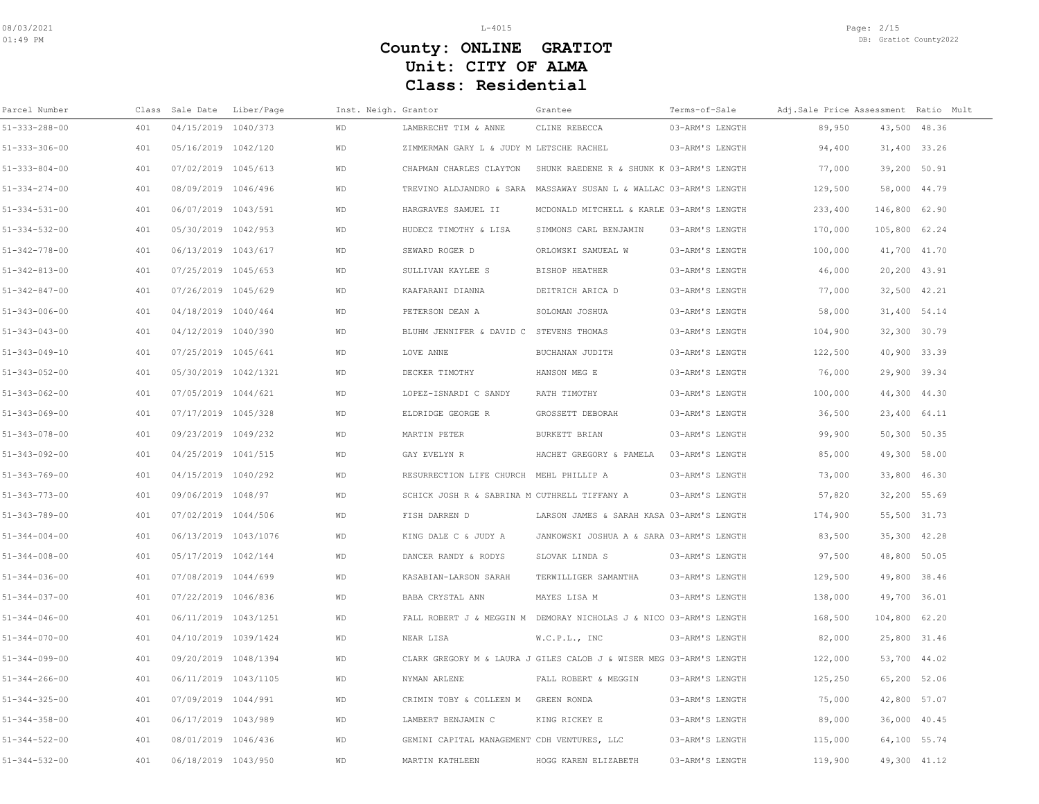| Parcel Number         | Class | Sale Date            | Liber/Page | Inst. Neigh. Grantor |                                              | Grantee                                                             | Terms-of-Sale   | Adj.Sale Price Assessment Ratio Mult |               |  |
|-----------------------|-------|----------------------|------------|----------------------|----------------------------------------------|---------------------------------------------------------------------|-----------------|--------------------------------------|---------------|--|
| $51 - 333 - 288 - 00$ | 401   | 04/15/2019 1040/373  |            | <b>WD</b>            | LAMBRECHT TIM & ANNE                         | CLINE REBECCA                                                       | 03-ARM'S LENGTH | 89,950                               | 43,500 48.36  |  |
| $51 - 333 - 306 - 00$ | 401   | 05/16/2019 1042/120  |            | <b>WD</b>            | ZIMMERMAN GARY L & JUDY M LETSCHE RACHEL     |                                                                     | 03-ARM'S LENGTH | 94,400                               | 31,400 33.26  |  |
| $51 - 333 - 804 - 00$ | 401   | 07/02/2019 1045/613  |            | <b>WD</b>            | CHAPMAN CHARLES CLAYTON                      | SHUNK RAEDENE R & SHUNK K 03-ARM'S LENGTH                           |                 | 77,000                               | 39,200 50.91  |  |
| $51 - 334 - 274 - 00$ | 401   | 08/09/2019 1046/496  |            | <b>WD</b>            |                                              | TREVINO ALDJANDRO & SARA MASSAWAY SUSAN L & WALLAC 03-ARM'S LENGTH  |                 | 129,500                              | 58,000 44.79  |  |
| $51 - 334 - 531 - 00$ | 401   | 06/07/2019 1043/591  |            | <b>WD</b>            | HARGRAVES SAMUEL II                          | MCDONALD MITCHELL & KARLE 03-ARM'S LENGTH                           |                 | 233,400                              | 146,800 62.90 |  |
| $51 - 334 - 532 - 00$ | 401   | 05/30/2019 1042/953  |            | <b>WD</b>            | HUDECZ TIMOTHY & LISA                        | SIMMONS CARL BENJAMIN                                               | 03-ARM'S LENGTH | 170,000                              | 105,800 62.24 |  |
| $51 - 342 - 778 - 00$ | 401   | 06/13/2019 1043/617  |            | WD                   | SEWARD ROGER D                               | ORLOWSKI SAMUEAL W                                                  | 03-ARM'S LENGTH | 100,000                              | 41,700 41.70  |  |
| $51 - 342 - 813 - 00$ | 401   | 07/25/2019 1045/653  |            | <b>WD</b>            | SULLIVAN KAYLEE S                            | <b>BISHOP HEATHER</b>                                               | 03-ARM'S LENGTH | 46,000                               | 20,200 43.91  |  |
| $51 - 342 - 847 - 00$ | 401   | 07/26/2019 1045/629  |            | WD                   | KAAFARANI DIANNA                             | DEITRICH ARICA D                                                    | 03-ARM'S LENGTH | 77,000                               | 32,500 42.21  |  |
| $51 - 343 - 006 - 00$ | 401   | 04/18/2019 1040/464  |            | WD                   | PETERSON DEAN A                              | SOLOMAN JOSHUA                                                      | 03-ARM'S LENGTH | 58,000                               | 31,400 54.14  |  |
| $51 - 343 - 043 - 00$ | 401   | 04/12/2019 1040/390  |            | WD                   | BLUHM JENNIFER & DAVID C STEVENS THOMAS      |                                                                     | 03-ARM'S LENGTH | 104,900                              | 32,300 30.79  |  |
| $51 - 343 - 049 - 10$ | 401   | 07/25/2019 1045/641  |            | WD                   | LOVE ANNE                                    | BUCHANAN JUDITH                                                     | 03-ARM'S LENGTH | 122,500                              | 40,900 33.39  |  |
| $51 - 343 - 052 - 00$ | 401   | 05/30/2019 1042/1321 |            | <b>WD</b>            | DECKER TIMOTHY                               | HANSON MEG E                                                        | 03-ARM'S LENGTH | 76,000                               | 29,900 39.34  |  |
| $51 - 343 - 062 - 00$ | 401   | 07/05/2019 1044/621  |            | WD                   | LOPEZ-ISNARDI C SANDY                        | RATH TIMOTHY                                                        | 03-ARM'S LENGTH | 100,000                              | 44,300 44.30  |  |
| $51 - 343 - 069 - 00$ | 401   | 07/17/2019 1045/328  |            | <b>WD</b>            | ELDRIDGE GEORGE R                            | GROSSETT DEBORAH                                                    | 03-ARM'S LENGTH | 36,500                               | 23,400 64.11  |  |
| $51 - 343 - 078 - 00$ | 401   | 09/23/2019 1049/232  |            | WD                   | MARTIN PETER                                 | BURKETT BRIAN                                                       | 03-ARM'S LENGTH | 99,900                               | 50,300 50.35  |  |
| $51 - 343 - 092 - 00$ | 401   | 04/25/2019 1041/515  |            | WD                   | GAY EVELYN R                                 | HACHET GREGORY & PAMELA                                             | 03-ARM'S LENGTH | 85,000                               | 49,300 58.00  |  |
| $51 - 343 - 769 - 00$ | 401   | 04/15/2019 1040/292  |            | <b>WD</b>            | RESURRECTION LIFE CHURCH MEHL PHILLIP A      |                                                                     | 03-ARM'S LENGTH | 73,000                               | 33,800 46.30  |  |
| $51 - 343 - 773 - 00$ | 401   | 09/06/2019 1048/97   |            | <b>WD</b>            | SCHICK JOSH R & SABRINA M CUTHRELL TIFFANY A |                                                                     | 03-ARM'S LENGTH | 57,820                               | 32,200 55.69  |  |
| $51 - 343 - 789 - 00$ | 401   | 07/02/2019 1044/506  |            | WD                   | FISH DARREN D                                | LARSON JAMES & SARAH KASA 03-ARM'S LENGTH                           |                 | 174,900                              | 55,500 31.73  |  |
| $51 - 344 - 004 - 00$ | 401   | 06/13/2019 1043/1076 |            | WD                   | KING DALE C & JUDY A                         | JANKOWSKI JOSHUA A & SARA 03-ARM'S LENGTH                           |                 | 83,500                               | 35,300 42.28  |  |
| $51 - 344 - 008 - 00$ | 401   | 05/17/2019 1042/144  |            | <b>WD</b>            | DANCER RANDY & RODYS                         | SLOVAK LINDA S                                                      | 03-ARM'S LENGTH | 97,500                               | 48,800 50.05  |  |
| $51 - 344 - 036 - 00$ | 401   | 07/08/2019 1044/699  |            | <b>WD</b>            | KASABIAN-LARSON SARAH                        | TERWILLIGER SAMANTHA                                                | 03-ARM'S LENGTH | 129,500                              | 49,800 38.46  |  |
| $51 - 344 - 037 - 00$ | 401   | 07/22/2019 1046/836  |            | <b>WD</b>            | BABA CRYSTAL ANN                             | MAYES LISA M                                                        | 03-ARM'S LENGTH | 138,000                              | 49,700 36.01  |  |
| $51 - 344 - 046 - 00$ | 401   | 06/11/2019 1043/1251 |            | <b>WD</b>            |                                              | FALL ROBERT J & MEGGIN M DEMORAY NICHOLAS J & NICO 03-ARM'S LENGTH  |                 | 168,500                              | 104,800 62.20 |  |
| $51 - 344 - 070 - 00$ | 401   | 04/10/2019 1039/1424 |            | <b>WD</b>            | NEAR LISA                                    | W.C.P.L., INC                                                       | 03-ARM'S LENGTH | 82,000                               | 25,800 31.46  |  |
| $51 - 344 - 099 - 00$ | 401   | 09/20/2019 1048/1394 |            | <b>WD</b>            |                                              | CLARK GREGORY M & LAURA J GILES CALOB J & WISER MEG 03-ARM'S LENGTH |                 | 122,000                              | 53,700 44.02  |  |
| $51 - 344 - 266 - 00$ | 401   | 06/11/2019 1043/1105 |            | WD                   | NYMAN ARLENE                                 | FALL ROBERT & MEGGIN                                                | 03-ARM'S LENGTH | 125,250                              | 65,200 52.06  |  |
| $51 - 344 - 325 - 00$ | 401   | 07/09/2019 1044/991  |            | <b>WD</b>            | CRIMIN TOBY & COLLEEN M                      | GREEN RONDA                                                         | 03-ARM'S LENGTH | 75,000                               | 42,800 57.07  |  |
| $51 - 344 - 358 - 00$ | 401   | 06/17/2019 1043/989  |            | <b>WD</b>            | LAMBERT BENJAMIN C                           | KING RICKEY E                                                       | 03-ARM'S LENGTH | 89,000                               | 36,000 40.45  |  |
| $51 - 344 - 522 - 00$ | 401   | 08/01/2019 1046/436  |            | <b>WD</b>            | GEMINI CAPITAL MANAGEMENT CDH VENTURES, LLC  |                                                                     | 03-ARM'S LENGTH | 115,000                              | 64,100 55.74  |  |
| $51 - 344 - 532 - 00$ | 401   | 06/18/2019 1043/950  |            | WD                   | MARTIN KATHLEEN                              | HOGG KAREN ELIZABETH                                                | 03-ARM'S LENGTH | 119,900                              | 49,300 41.12  |  |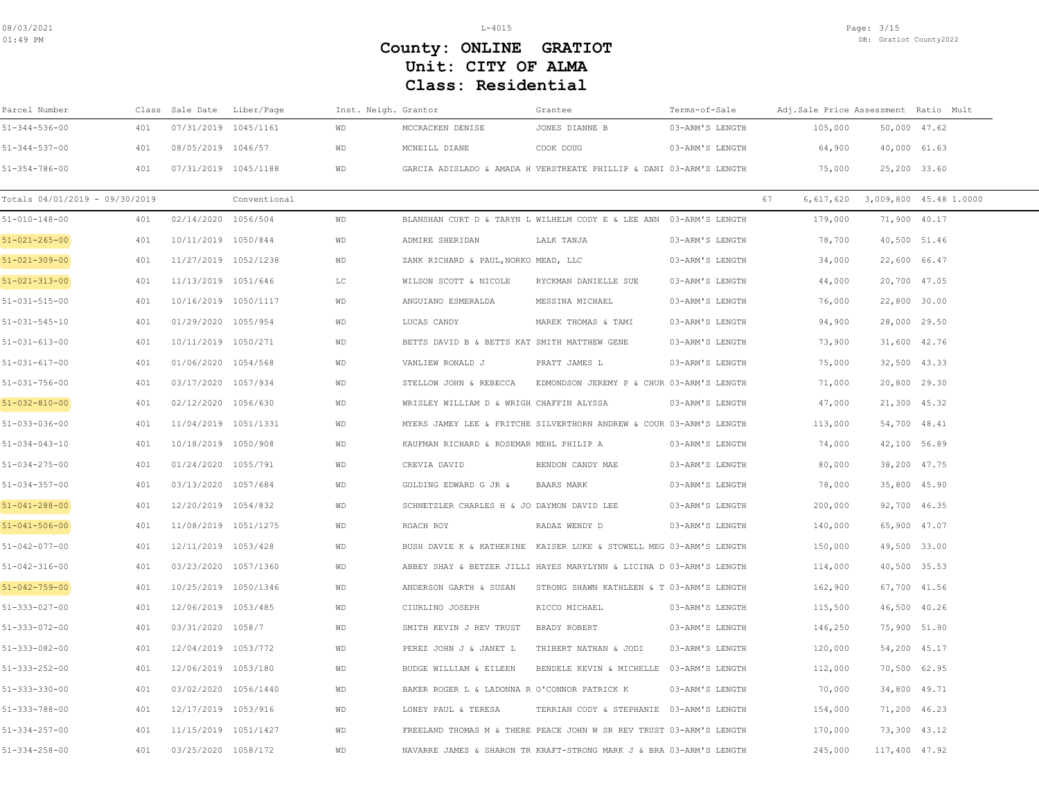| Parcel Number                  |     | Class Sale Date      | Liber/Page   | Inst. Neigh. Grantor |                                              | Grantee                                                             | Terms-of-Sale   | Adj.Sale Price Assessment Ratio Mult |               |                                      |
|--------------------------------|-----|----------------------|--------------|----------------------|----------------------------------------------|---------------------------------------------------------------------|-----------------|--------------------------------------|---------------|--------------------------------------|
| $51 - 344 - 536 - 00$          | 401 | 07/31/2019 1045/1161 |              | WD                   | MCCRACKEN DENISE                             | JONES DIANNE B                                                      | 03-ARM'S LENGTH | 105,000                              | 50,000 47.62  |                                      |
| $51 - 344 - 537 - 00$          | 401 | 08/05/2019 1046/57   |              | WD                   | MCNEILL DIANE                                | COOK DOUG                                                           | 03-ARM'S LENGTH | 64,900                               | 40,000 61.63  |                                      |
| $51 - 354 - 786 - 00$          | 401 | 07/31/2019 1045/1188 |              | WD                   |                                              | GARCIA ADISLADO & AMADA H VERSTREATE PHILLIP & DANI 03-ARM'S LENGTH |                 | 75,000                               | 25,200 33.60  |                                      |
| Totals 04/01/2019 - 09/30/2019 |     |                      | Conventional |                      |                                              |                                                                     |                 | 67                                   |               | 6, 617, 620 3, 009, 800 45.48 1.0000 |
| $51 - 010 - 148 - 00$          | 401 | 02/14/2020 1056/504  |              | WD                   |                                              | BLANSHAN CURT D & TARYN L WILHELM CODY E & LEE ANN 03-ARM'S LENGTH  |                 | 179,000                              | 71,900 40.17  |                                      |
| $51 - 021 - 265 - 00$          | 401 | 10/11/2019 1050/844  |              | WD                   | ADMIRE SHERIDAN                              | LALK TANJA                                                          | 03-ARM'S LENGTH | 78,700                               | 40,500 51.46  |                                      |
| $51 - 021 - 309 - 00$          | 401 | 11/27/2019 1052/1238 |              | WD                   | ZANK RICHARD & PAUL, NORKO MEAD, LLC         |                                                                     | 03-ARM'S LENGTH | 34,000                               | 22,600 66.47  |                                      |
| $51 - 021 - 313 - 00$          | 401 | 11/13/2019 1051/646  |              | T.C                  | WILSON SCOTT & NICOLE                        | RYCKMAN DANIELLE SUE                                                | 03-ARM'S LENGTH | 44,000                               | 20,700 47.05  |                                      |
| $51 - 031 - 515 - 00$          | 401 | 10/16/2019 1050/1117 |              | <b>WD</b>            | ANGUIANO ESMERALDA                           | MESSINA MICHAEL                                                     | 03-ARM'S LENGTH | 76,000                               | 22,800 30.00  |                                      |
| $51 - 031 - 545 - 10$          | 401 | 01/29/2020 1055/954  |              | WD                   | LUCAS CANDY                                  | MAREK THOMAS & TAMI                                                 | 03-ARM'S LENGTH | 94,900                               | 28,000 29.50  |                                      |
| $51 - 031 - 613 - 00$          | 401 | 10/11/2019 1050/271  |              | <b>WD</b>            | BETTS DAVID B & BETTS KAT SMITH MATTHEW GENE |                                                                     | 03-ARM'S LENGTH | 73,900                               | 31,600 42.76  |                                      |
| $51 - 031 - 617 - 00$          | 401 | 01/06/2020 1054/568  |              | <b>WD</b>            | VANLIEW RONALD J                             | PRATT JAMES L                                                       | 03-ARM'S LENGTH | 75,000                               | 32,500 43.33  |                                      |
| $51 - 031 - 756 - 00$          | 401 | 03/17/2020 1057/934  |              | WD                   | STELLOW JOHN & REBECCA                       | EDMONDSON JEREMY P & CHUR 03-ARM'S LENGTH                           |                 | 71,000                               | 20,800 29.30  |                                      |
| $51 - 032 - 810 - 00$          | 401 | 02/12/2020 1056/630  |              | WD                   | WRISLEY WILLIAM D & WRIGH CHAFFIN ALYSSA     |                                                                     | 03-ARM'S LENGTH | 47,000                               | 21,300 45.32  |                                      |
| $51 - 033 - 036 - 00$          | 401 | 11/04/2019 1051/1331 |              | WD                   |                                              | MYERS JAMEY LEE & FRITCHE SILVERTHORN ANDREW & COUR 03-ARM'S LENGTH |                 | 113,000                              | 54,700 48.41  |                                      |
| $51 - 034 - 043 - 10$          | 401 | 10/18/2019 1050/908  |              | WD                   | KAUFMAN RICHARD & ROSEMAR MEHL PHILIP A      |                                                                     | 03-ARM'S LENGTH | 74,000                               | 42,100 56.89  |                                      |
| $51 - 034 - 275 - 00$          | 401 | 01/24/2020 1055/791  |              | <b>WD</b>            | CREVIA DAVID                                 | BENDON CANDY MAE                                                    | 03-ARM'S LENGTH | 80,000                               | 38,200 47.75  |                                      |
| $51 - 034 - 357 - 00$          | 401 | 03/13/2020 1057/684  |              | WD                   | GOLDING EDWARD G JR &                        | BAARS MARK                                                          | 03-ARM'S LENGTH | 78,000                               | 35,800 45.90  |                                      |
| $51 - 041 - 288 - 00$          | 401 | 12/20/2019 1054/832  |              | WD                   | SCHNETZLER CHARLES H & JO DAYMON DAVID LEE   |                                                                     | 03-ARM'S LENGTH | 200,000                              | 92,700 46.35  |                                      |
| $51 - 041 - 506 - 00$          | 401 | 11/08/2019 1051/1275 |              | WD                   | ROACH ROY                                    | RADAZ WENDY D                                                       | 03-ARM'S LENGTH | 140,000                              | 65,900 47.07  |                                      |
| $51 - 042 - 077 - 00$          | 401 | 12/11/2019 1053/428  |              | WD                   |                                              | BUSH DAVIE K & KATHERINE KAISER LUKE & STOWELL MEG 03-ARM'S LENGTH  |                 | 150,000                              | 49,500 33.00  |                                      |
| $51 - 042 - 316 - 00$          | 401 | 03/23/2020 1057/1360 |              | WD                   |                                              | ABBEY SHAY & BETZER JILLI HAYES MARYLYNN & LICINA D 03-ARM'S LENGTH |                 | 114,000                              | 40,500 35.53  |                                      |
| $51 - 042 - 759 - 00$          | 401 | 10/25/2019 1050/1346 |              | WD                   | ANDERSON GARTH & SUSAN                       | STRONG SHAWN KATHLEEN & T 03-ARM'S LENGTH                           |                 | 162,900                              | 67,700 41.56  |                                      |
| $51 - 333 - 027 - 00$          | 401 | 12/06/2019 1053/485  |              | WD                   | CIURLINO JOSEPH                              | RICCO MICHAEL                                                       | 03-ARM'S LENGTH | 115,500                              | 46,500 40.26  |                                      |
| $51 - 333 - 072 - 00$          | 401 | 03/31/2020 1058/7    |              | WD                   | SMITH KEVIN J REV TRUST                      | BRADY ROBERT                                                        | 03-ARM'S LENGTH | 146,250                              | 75,900 51.90  |                                      |
| $51 - 333 - 082 - 00$          | 401 | 12/04/2019 1053/772  |              | WD                   | PEREZ JOHN J & JANET L                       | THIBERT NATHAN & JODI                                               | 03-ARM'S LENGTH | 120,000                              | 54,200 45.17  |                                      |
| $51 - 333 - 252 - 00$          | 401 | 12/06/2019 1053/180  |              | WD                   | BUDGE WILLIAM & EILEEN                       | BENDELE KEVIN & MICHELLE 03-ARM'S LENGTH                            |                 | 112,000                              | 70,500 62.95  |                                      |
| $51 - 333 - 330 - 00$          | 401 | 03/02/2020 1056/1440 |              | <b>WD</b>            | BAKER ROGER L & LADONNA R O'CONNOR PATRICK K |                                                                     | 03-ARM'S LENGTH | 70,000                               | 34,800 49.71  |                                      |
| $51 - 333 - 788 - 00$          | 401 | 12/17/2019 1053/916  |              | WD                   | LONEY PAUL & TERESA                          | TERRIAN CODY & STEPHANIE 03-ARM'S LENGTH                            |                 | 154,000                              | 71,200 46.23  |                                      |
| $51 - 334 - 257 - 00$          | 401 | 11/15/2019 1051/1427 |              | WD                   |                                              | FREELAND THOMAS M & THERE PEACE JOHN W SR REV TRUST 03-ARM'S LENGTH |                 | 170,000                              | 73,300 43.12  |                                      |
| $51 - 334 - 258 - 00$          | 401 | 03/25/2020 1058/172  |              | WD                   |                                              | NAVARRE JAMES & SHARON TR KRAFT-STRONG MARK J & BRA 03-ARM'S LENGTH |                 | 245,000                              | 117,400 47.92 |                                      |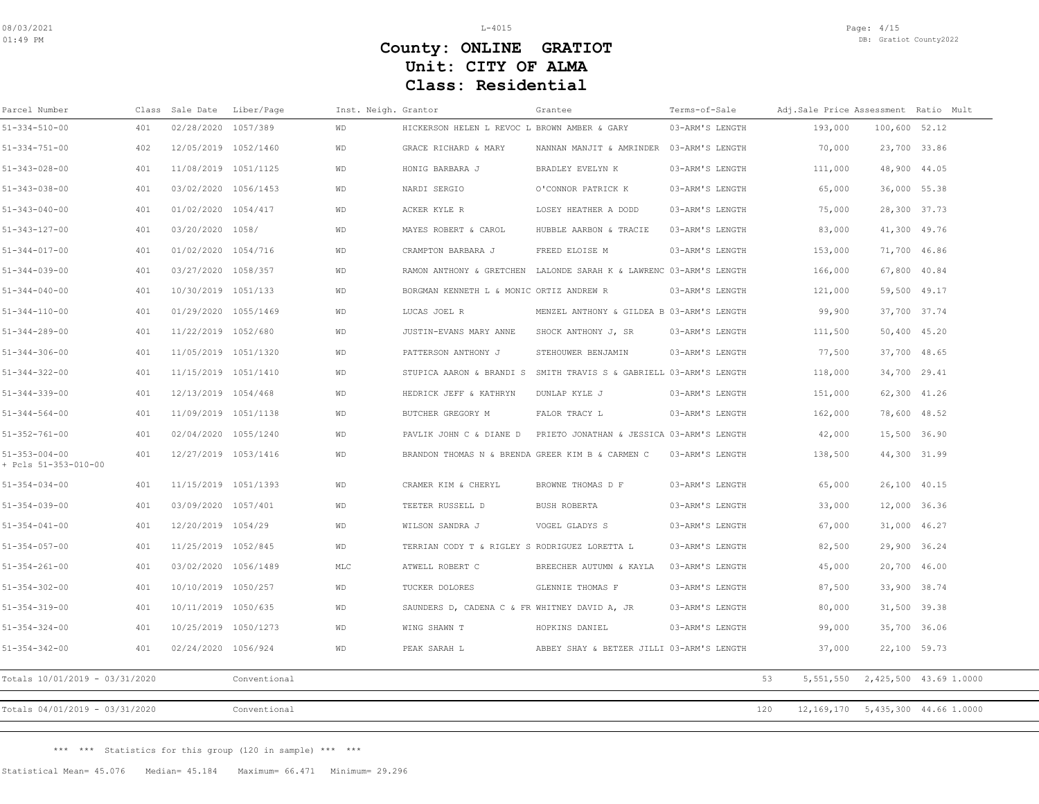| Parcel Number                                 |     | Class Sale Date      | Liber/Page   | Inst. Neigh. Grantor |                                                  | Grantee                                   | Terms-of-Sale   | Adj.Sale Price Assessment Ratio Mult |               |                                        |
|-----------------------------------------------|-----|----------------------|--------------|----------------------|--------------------------------------------------|-------------------------------------------|-----------------|--------------------------------------|---------------|----------------------------------------|
| $51 - 334 - 510 - 00$                         | 401 | 02/28/2020 1057/389  |              | <b>WD</b>            | HICKERSON HELEN L REVOC L BROWN AMBER & GARY     |                                           | 03-ARM'S LENGTH | 193,000                              | 100,600 52.12 |                                        |
| $51 - 334 - 751 - 00$                         | 402 | 12/05/2019 1052/1460 |              | WD                   | GRACE RICHARD & MARY                             | NANNAN MANJIT & AMRINDER                  | 03-ARM'S LENGTH | 70,000                               | 23,700 33.86  |                                        |
| $51 - 343 - 028 - 00$                         | 401 | 11/08/2019 1051/1125 |              | WD                   | HONIG BARBARA J                                  | BRADLEY EVELYN K                          | 03-ARM'S LENGTH | 111,000                              | 48,900 44.05  |                                        |
| $51 - 343 - 038 - 00$                         | 401 | 03/02/2020 1056/1453 |              | <b>WD</b>            | NARDI SERGIO                                     | O'CONNOR PATRICK K                        | 03-ARM'S LENGTH | 65,000                               | 36,000 55.38  |                                        |
| $51 - 343 - 040 - 00$                         | 401 | 01/02/2020 1054/417  |              | WD                   | ACKER KYLE R                                     | LOSEY HEATHER A DODD                      | 03-ARM'S LENGTH | 75,000                               | 28,300 37.73  |                                        |
| $51 - 343 - 127 - 00$                         | 401 | 03/20/2020 1058/     |              | WD                   | MAYES ROBERT & CAROL                             | HUBBLE AARBON & TRACIE                    | 03-ARM'S LENGTH | 83,000                               | 41,300 49.76  |                                        |
| $51 - 344 - 017 - 00$                         | 401 | 01/02/2020 1054/716  |              | WD                   | CRAMPTON BARBARA J                               | FREED ELOISE M                            | 03-ARM'S LENGTH | 153,000                              | 71,700 46.86  |                                        |
| $51 - 344 - 039 - 00$                         | 401 | 03/27/2020 1058/357  |              | WD                   | RAMON ANTHONY & GRETCHEN                         | LALONDE SARAH K & LAWRENC 03-ARM'S LENGTH |                 | 166,000                              | 67,800 40.84  |                                        |
| $51 - 344 - 040 - 00$                         | 401 | 10/30/2019 1051/133  |              | <b>WD</b>            | BORGMAN KENNETH L & MONIC ORTIZ ANDREW R         |                                           | 03-ARM'S LENGTH | 121,000                              | 59,500 49.17  |                                        |
| $51 - 344 - 110 - 00$                         | 401 | 01/29/2020 1055/1469 |              | WD                   | LUCAS JOEL R                                     | MENZEL ANTHONY & GILDEA B 03-ARM'S LENGTH |                 | 99,900                               | 37,700 37.74  |                                        |
| $51 - 344 - 289 - 00$                         | 401 | 11/22/2019 1052/680  |              | WD                   | JUSTIN-EVANS MARY ANNE                           | SHOCK ANTHONY J, SR                       | 03-ARM'S LENGTH | 111,500                              | 50,400 45.20  |                                        |
| $51 - 344 - 306 - 00$                         | 401 | 11/05/2019 1051/1320 |              | <b>WD</b>            | PATTERSON ANTHONY J                              | STEHOUWER BENJAMIN                        | 03-ARM'S LENGTH | 77,500                               | 37,700 48.65  |                                        |
| $51 - 344 - 322 - 00$                         | 401 | 11/15/2019 1051/1410 |              | WD                   | STUPICA AARON & BRANDI S                         | SMITH TRAVIS S & GABRIELL 03-ARM'S LENGTH |                 | 118,000                              | 34,700 29.41  |                                        |
| $51 - 344 - 339 - 00$                         | 401 | 12/13/2019 1054/468  |              | WD                   | HEDRICK JEFF & KATHRYN                           | DUNLAP KYLE J                             | 03-ARM'S LENGTH | 151,000                              |               | 62,300 41.26                           |
| $51 - 344 - 564 - 00$                         | 401 | 11/09/2019 1051/1138 |              | <b>WD</b>            | BUTCHER GREGORY M                                | FALOR TRACY L                             | 03-ARM'S LENGTH | 162,000                              | 78,600 48.52  |                                        |
| $51 - 352 - 761 - 00$                         | 401 | 02/04/2020 1055/1240 |              | WD                   | PAVLIK JOHN C & DIANE D                          | PRIETO JONATHAN & JESSICA 03-ARM'S LENGTH |                 | 42,000                               | 15,500 36.90  |                                        |
| $51 - 353 - 004 - 00$<br>+ Pcls 51-353-010-00 | 401 | 12/27/2019 1053/1416 |              | WD                   | BRANDON THOMAS N & BRENDA GREER KIM B & CARMEN C |                                           | 03-ARM'S LENGTH | 138,500                              | 44,300 31.99  |                                        |
| $51 - 354 - 034 - 00$                         | 401 | 11/15/2019 1051/1393 |              | WD                   | CRAMER KIM & CHERYL                              | BROWNE THOMAS D F                         | 03-ARM'S LENGTH | 65,000                               | 26,100 40.15  |                                        |
| $51 - 354 - 039 - 00$                         | 401 | 03/09/2020 1057/401  |              | WD                   | TEETER RUSSELL D                                 | BUSH ROBERTA                              | 03-ARM'S LENGTH | 33,000                               | 12,000 36.36  |                                        |
| $51 - 354 - 041 - 00$                         | 401 | 12/20/2019 1054/29   |              | <b>WD</b>            | WILSON SANDRA J                                  | VOGEL GLADYS S                            | 03-ARM'S LENGTH | 67,000                               | 31,000 46.27  |                                        |
| $51 - 354 - 057 - 00$                         | 401 | 11/25/2019 1052/845  |              | WD                   | TERRIAN CODY T & RIGLEY S RODRIGUEZ LORETTA L    |                                           | 03-ARM'S LENGTH | 82,500                               | 29,900 36.24  |                                        |
| $51 - 354 - 261 - 00$                         | 401 | 03/02/2020 1056/1489 |              | MLC                  | ATWELL ROBERT C                                  | BREECHER AUTUMN & KAYLA                   | 03-ARM'S LENGTH | 45,000                               | 20,700 46.00  |                                        |
| $51 - 354 - 302 - 00$                         | 401 | 10/10/2019 1050/257  |              | <b>WD</b>            | TUCKER DOLORES                                   | GLENNIE THOMAS F                          | 03-ARM'S LENGTH | 87,500                               | 33,900 38.74  |                                        |
| $51 - 354 - 319 - 00$                         | 401 | 10/11/2019 1050/635  |              | WD                   | SAUNDERS D, CADENA C & FR WHITNEY DAVID A, JR    |                                           | 03-ARM'S LENGTH | 80,000                               | 31,500 39.38  |                                        |
| $51 - 354 - 324 - 00$                         | 401 | 10/25/2019 1050/1273 |              | <b>WD</b>            | WING SHAWN T                                     | HOPKINS DANIEL                            | 03-ARM'S LENGTH | 99,000                               | 35,700 36.06  |                                        |
| $51 - 354 - 342 - 00$                         | 401 | 02/24/2020 1056/924  |              | <b>WD</b>            | PEAK SARAH L                                     | ABBEY SHAY & BETZER JILLI 03-ARM'S LENGTH |                 | 37,000                               | 22,100 59.73  |                                        |
| Totals 10/01/2019 - 03/31/2020                |     |                      | Conventional |                      |                                                  |                                           |                 | 53<br>5,551,550                      |               | 2,425,500 43.69 1.0000                 |
| Totals 04/01/2019 - 03/31/2020                |     |                      | Conventional |                      |                                                  |                                           |                 | 120                                  |               | 12, 169, 170 5, 435, 300 44. 66 1.0000 |
|                                               |     |                      |              |                      |                                                  |                                           |                 |                                      |               |                                        |

\*\*\* \*\*\* Statistics for this group (120 in sample) \*\*\* \*\*\*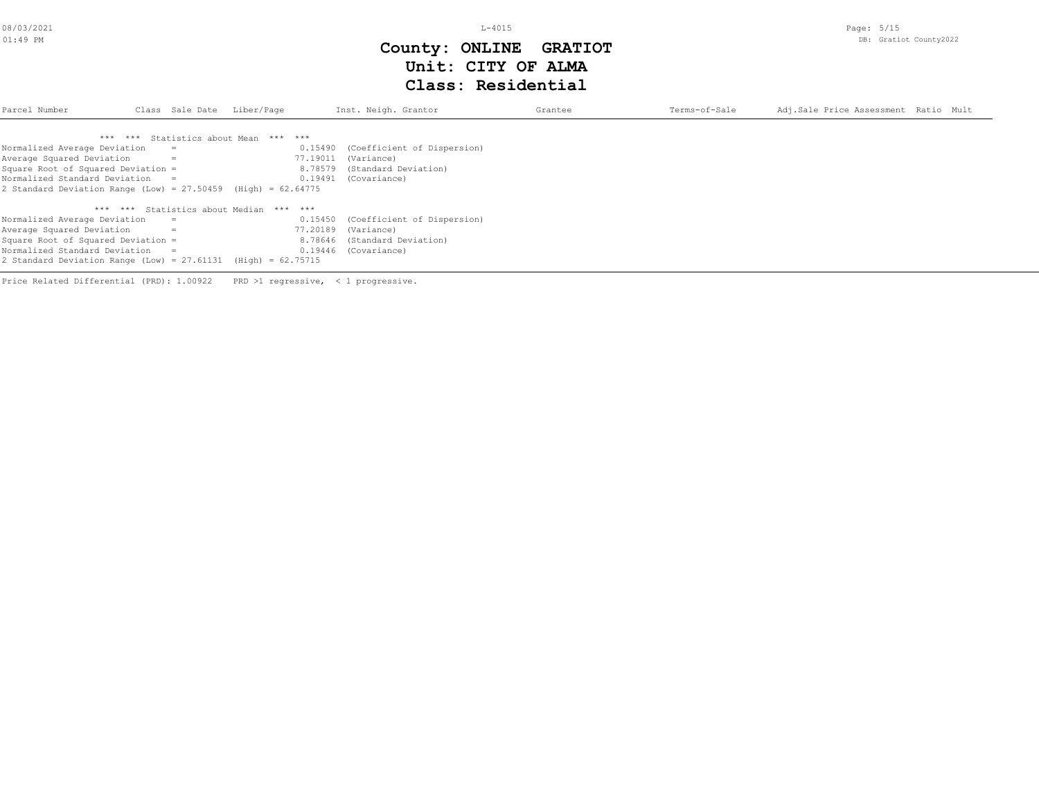# **Class: Residential Unit: CITY OF ALMA County: ONLINE GRATIOT**

| Parcel Number<br>Class Sale Date Liber/Page                       |  |     | Inst. Neigh. Grantor                    | Grantee                             | Terms-of-Sale | Adj.Sale Price Assessment Ratio Mult |  |
|-------------------------------------------------------------------|--|-----|-----------------------------------------|-------------------------------------|---------------|--------------------------------------|--|
|                                                                   |  |     | *** *** Statistics about Mean *** ***   |                                     |               |                                      |  |
| Normalized Average Deviation                                      |  | $=$ | 0.15490                                 | (Coefficient of Dispersion)         |               |                                      |  |
| Average Squared Deviation                                         |  | $=$ | 77.19011                                | (Variance)                          |               |                                      |  |
| Square Root of Squared Deviation =                                |  |     | 8.78579                                 | (Standard Deviation)                |               |                                      |  |
| Normalized Standard Deviation =                                   |  |     | 0.19491                                 | (Covariance)                        |               |                                      |  |
| 2 Standard Deviation Range (Low) = $27.50459$ (High) = 62.64775   |  |     |                                         |                                     |               |                                      |  |
|                                                                   |  |     | *** *** Statistics about Median *** *** |                                     |               |                                      |  |
| Normalized Average Deviation                                      |  |     |                                         | 0.15450 (Coefficient of Dispersion) |               |                                      |  |
| Average Squared Deviation                                         |  | $=$ | 77.20189                                | (Variance)                          |               |                                      |  |
| Square Root of Squared Deviation =                                |  |     |                                         | 8.78646 (Standard Deviation)        |               |                                      |  |
| Normalized Standard Deviation =                                   |  |     |                                         | 0.19446 (Covariance)                |               |                                      |  |
| 2 Standard Deviation Range (Low) = $27.61131$ (High) = $62.75715$ |  |     |                                         |                                     |               |                                      |  |

Price Related Differential (PRD): 1.00922 PRD >1 regressive, < 1 progressive.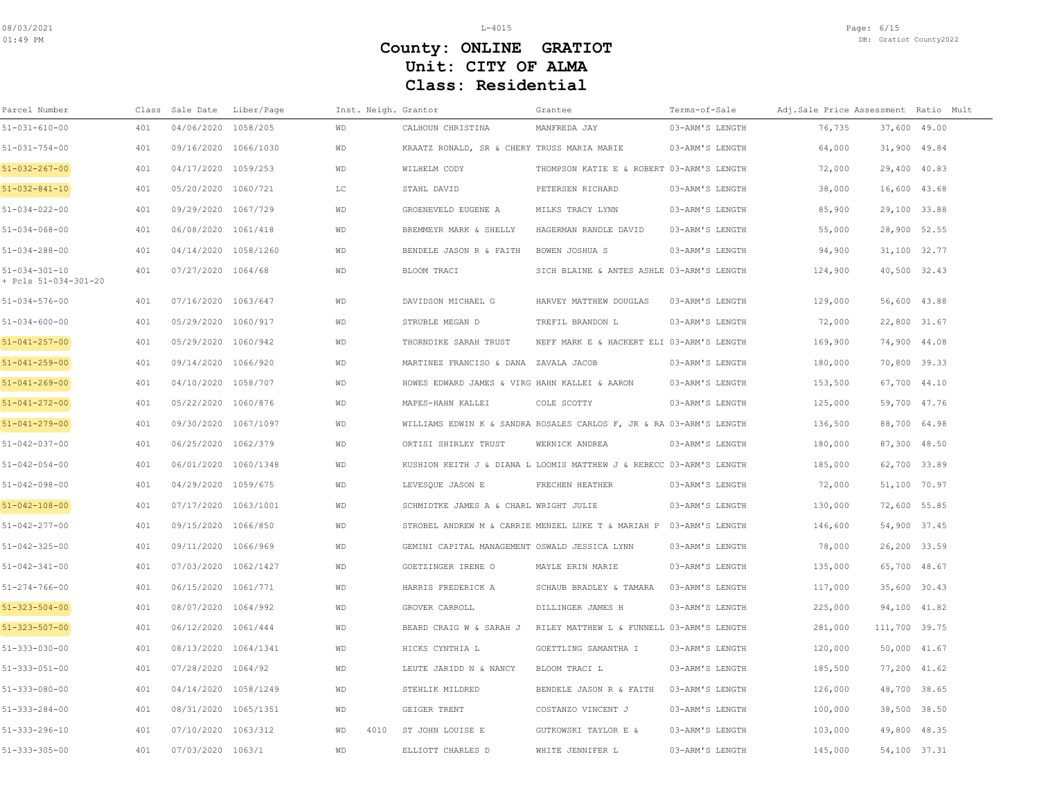| Parcel Number                                 |     | Class Sale Date      | Liber/Page | Inst. Neigh. Grantor |                                               | Grantee                                                             | Terms-of-Sale   | Adj.Sale Price Assessment Ratio Mult |               |  |
|-----------------------------------------------|-----|----------------------|------------|----------------------|-----------------------------------------------|---------------------------------------------------------------------|-----------------|--------------------------------------|---------------|--|
| 51-031-610-00                                 | 401 | 04/06/2020           | 1058/205   | <b>WD</b>            | CALHOUN CHRISTINA                             | MANFREDA JAY                                                        | 03-ARM'S LENGTH | 76,735                               | 37,600 49.00  |  |
| $51 - 031 - 754 - 00$                         | 401 | 09/16/2020 1066/1030 |            | <b>WD</b>            | KRAATZ RONALD, SR & CHERY TRUSS MARIA MARIE   |                                                                     | 03-ARM'S LENGTH | 64,000                               | 31,900 49.84  |  |
| $51 - 032 - 267 - 00$                         | 401 | 04/17/2020           | 1059/253   | WD                   | WILHELM CODY                                  | THOMPSON KATIE E & ROBERT 03-ARM'S LENGTH                           |                 | 72,000                               | 29,400 40.83  |  |
| 51-032-841-10                                 | 401 | 05/20/2020           | 1060/721   | LC                   | STAHL DAVID                                   | PETERSEN RICHARD                                                    | 03-ARM'S LENGTH | 38,000                               | 16,600 43.68  |  |
| $51 - 034 - 022 - 00$                         | 401 | 09/29/2020 1067/729  |            | <b>WD</b>            | GROENEVELD EUGENE A                           | MILKS TRACY LYNN                                                    | 03-ARM'S LENGTH | 85,900                               | 29,100 33.88  |  |
| $51 - 034 - 068 - 00$                         | 401 | 06/08/2020 1061/418  |            | WD                   | BREMMEYR MARK & SHELLY                        | HAGERMAN RANDLE DAVID                                               | 03-ARM'S LENGTH | 55,000                               | 28,900 52.55  |  |
| $51 - 034 - 288 - 00$                         | 401 | 04/14/2020 1058/1260 |            | <b>WD</b>            | BENDELE JASON R & FAITH                       | BOWEN JOSHUA S                                                      | 03-ARM'S LENGTH | 94,900                               | 31,100 32.77  |  |
| $51 - 034 - 301 - 10$<br>+ Pcls 51-034-301-20 | 401 | 07/27/2020 1064/68   |            | <b>WD</b>            | BLOOM TRACI                                   | SICH BLAINE & ANTES ASHLE 03-ARM'S LENGTH                           |                 | 124,900                              | 40,500 32.43  |  |
| 51-034-576-00                                 | 401 | 07/16/2020 1063/647  |            | WD                   | DAVIDSON MICHAEL G                            | HARVEY MATTHEW DOUGLAS                                              | 03-ARM'S LENGTH | 129,000                              | 56,600 43.88  |  |
| $51 - 034 - 600 - 00$                         | 401 | 05/29/2020 1060/917  |            | <b>WD</b>            | STRUBLE MEGAN D                               | TREFIL BRANDON L                                                    | 03-ARM'S LENGTH | 72,000                               | 22,800 31.67  |  |
| $51 - 041 - 257 - 00$                         | 401 | 05/29/2020 1060/942  |            | WD                   | THORNDIKE SARAH TRUST                         | NEFF MARK E & HACKERT ELI 03-ARM'S LENGTH                           |                 | 169,900                              | 74,900 44.08  |  |
| $51 - 041 - 259 - 00$                         | 401 | 09/14/2020           | 1066/920   | <b>WD</b>            | MARTINEZ FRANCISO & DANA ZAVALA JACOB         |                                                                     | 03-ARM'S LENGTH | 180,000                              | 70,800 39.33  |  |
| 51-041-269-00                                 | 401 | 04/10/2020           | 1058/707   | WD                   | HOWES EDWARD JAMES & VIRG HAHN KALLEI & AARON |                                                                     | 03-ARM'S LENGTH | 153,500                              | 67,700 44.10  |  |
| $51 - 041 - 272 - 00$                         | 401 | 05/22/2020 1060/876  |            | <b>WD</b>            | MAPES-HAHN KALLEI                             | COLE SCOTTY                                                         | 03-ARM'S LENGTH | 125,000                              | 59,700 47.76  |  |
| $51 - 041 - 279 - 00$                         | 401 | 09/30/2020 1067/1097 |            | <b>WD</b>            |                                               | WILLIAMS EDWIN K & SANDRA ROSALES CARLOS F, JR & RA 03-ARM'S LENGTH |                 | 136,500                              | 88,700 64.98  |  |
| 51-042-037-00                                 | 401 | 06/25/2020 1062/379  |            | <b>WD</b>            | ORTISI SHIRLEY TRUST                          | WERNICK ANDREA                                                      | 03-ARM'S LENGTH | 180,000                              | 87,300 48.50  |  |
| $51 - 042 - 054 - 00$                         | 401 | 06/01/2020 1060/1348 |            | <b>WD</b>            |                                               | KUSHION KEITH J & DIANA L LOOMIS MATTHEW J & REBECC 03-ARM'S LENGTH |                 | 185,000                              | 62,700 33.89  |  |
| $51 - 042 - 098 - 00$                         | 401 | 04/29/2020           | 1059/675   | WD                   | LEVESQUE JASON E                              | FRECHEN HEATHER                                                     | 03-ARM'S LENGTH | 72,000                               | 51,100 70.97  |  |
| $51 - 042 - 108 - 00$                         | 401 | 07/17/2020           | 1063/1001  | <b>WD</b>            | SCHMIDTKE JAMES A & CHARL WRIGHT JULIE        |                                                                     | 03-ARM'S LENGTH | 130,000                              | 72,600 55.85  |  |
| $51 - 042 - 277 - 00$                         | 401 | 09/15/2020 1066/850  |            | WD                   |                                               | STROBEL ANDREW M & CARRIE MENZEL LUKE T & MARIAH P 03-ARM'S LENGTH  |                 | 146,600                              | 54,900 37.45  |  |
| 51-042-325-00                                 | 401 | 09/11/2020 1066/969  |            | WD                   | GEMINI CAPITAL MANAGEMENT OSWALD JESSICA LYNN |                                                                     | 03-ARM'S LENGTH | 78,000                               | 26,200 33.59  |  |
| $51 - 042 - 341 - 00$                         | 401 | 07/03/2020           | 1062/1427  | <b>WD</b>            | GOETZINGER IRENE O                            | MAYLE ERIN MARIE                                                    | 03-ARM'S LENGTH | 135,000                              | 65,700 48.67  |  |
| $51 - 274 - 766 - 00$                         | 401 | 06/15/2020 1061/771  |            | <b>WD</b>            | HARRIS FREDERICK A                            | SCHAUB BRADLEY & TAMARA                                             | 03-ARM'S LENGTH | 117,000                              | 35,600 30.43  |  |
| 51-323-504-00                                 | 401 | 08/07/2020 1064/992  |            | WD                   | GROVER CARROLL                                | DILLINGER JAMES H                                                   | 03-ARM'S LENGTH | 225,000                              | 94,100 41.82  |  |
| 51-323-507-00                                 | 401 | 06/12/2020           | 1061/444   | WD                   | BEARD CRAIG W & SARAH J                       | RILEY MATTHEW L & FUNNELL 03-ARM'S LENGTH                           |                 | 281,000                              | 111,700 39.75 |  |
| 51-333-030-00                                 | 401 | 08/13/2020 1064/1341 |            | WD                   | HICKS CYNTHIA L                               | GOETTLING SAMANTHA I                                                | 03-ARM'S LENGTH | 120,000                              | 50,000 41.67  |  |
| $51 - 333 - 051 - 00$                         | 401 | 07/28/2020 1064/92   |            | <b>WD</b>            | LEUTE JARIDD N & NANCY                        | BLOOM TRACI L                                                       | 03-ARM'S LENGTH | 185,500                              | 77,200 41.62  |  |
| 51-333-080-00                                 | 401 | 04/14/2020 1058/1249 |            | <b>WD</b>            | STEHLIK MILDRED                               | BENDELE JASON R & FAITH                                             | 03-ARM'S LENGTH | 126,000                              | 48,700 38.65  |  |
| 51-333-284-00                                 | 401 | 08/31/2020 1065/1351 |            | <b>WD</b>            | GEIGER TRENT                                  | COSTANZO VINCENT J                                                  | 03-ARM'S LENGTH | 100,000                              | 38,500 38.50  |  |
| 51-333-296-10                                 | 401 | 07/10/2020 1063/312  |            | <b>WD</b><br>4010    | ST JOHN LOUISE E                              | GUTKOWSKI TAYLOR E &                                                | 03-ARM'S LENGTH | 103,000                              | 49,800 48.35  |  |
| 51-333-305-00                                 | 401 | 07/03/2020 1063/1    |            | <b>WD</b>            | ELLIOTT CHARLES D                             | WHITE JENNIFER L                                                    | 03-ARM'S LENGTH | 145,000                              | 54,100 37.31  |  |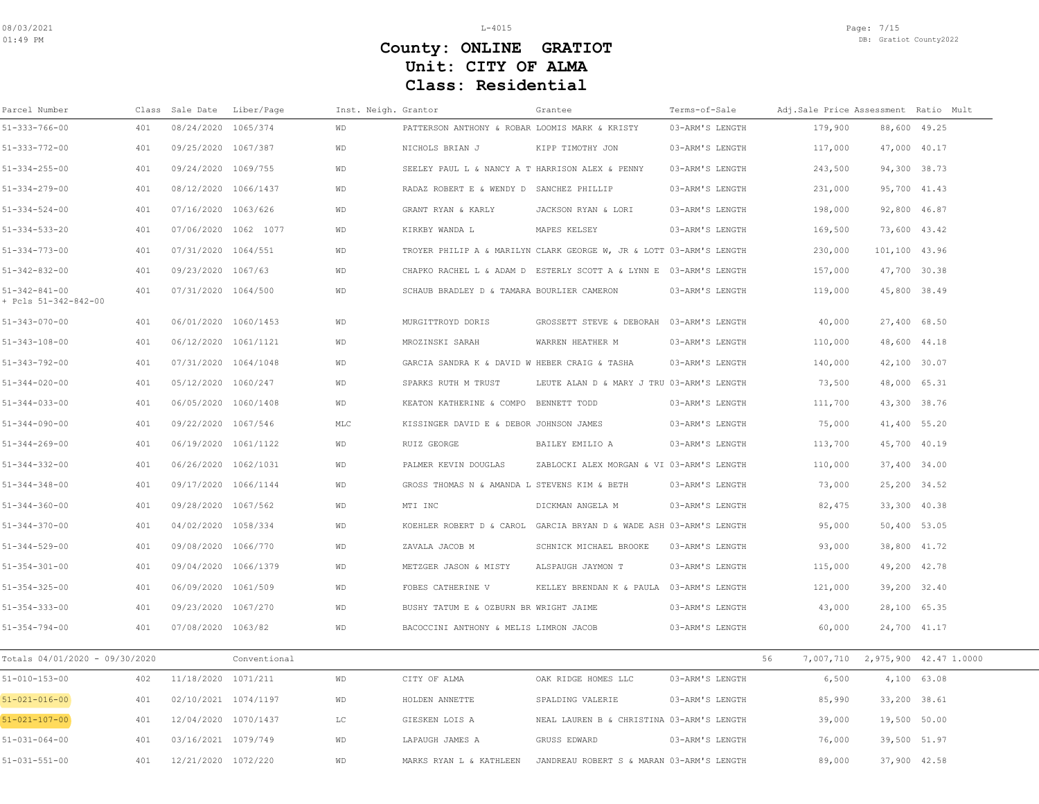| Parcel Number                                 | Class | Sale Date            | Liber/Page           | Inst. Neigh. Grantor |                                                 | Grantee                                                             | Terms-of-Sale   | Adj.Sale Price Assessment Ratio Mult |               |                        |
|-----------------------------------------------|-------|----------------------|----------------------|----------------------|-------------------------------------------------|---------------------------------------------------------------------|-----------------|--------------------------------------|---------------|------------------------|
| $51 - 333 - 766 - 00$                         | 401   | 08/24/2020 1065/374  |                      | <b>WD</b>            | PATTERSON ANTHONY & ROBAR LOOMIS MARK & KRISTY  |                                                                     | 03-ARM'S LENGTH | 179,900                              | 88,600 49.25  |                        |
| $51 - 333 - 772 - 00$                         | 401   | 09/25/2020 1067/387  |                      | <b>WD</b>            | NICHOLS BRIAN J                                 | KIPP TIMOTHY JON                                                    | 03-ARM'S LENGTH | 117,000                              | 47,000 40.17  |                        |
| $51 - 334 - 255 - 00$                         | 401   | 09/24/2020 1069/755  |                      | <b>WD</b>            | SEELEY PAUL L & NANCY A T HARRISON ALEX & PENNY |                                                                     | 03-ARM'S LENGTH | 243,500                              | 94,300 38.73  |                        |
| $51 - 334 - 279 - 00$                         | 401   | 08/12/2020 1066/1437 |                      | WD                   | RADAZ ROBERT E & WENDY D SANCHEZ PHILLIP        |                                                                     | 03-ARM'S LENGTH | 231,000                              | 95,700 41.43  |                        |
| $51 - 334 - 524 - 00$                         | 401   | 07/16/2020 1063/626  |                      | <b>WD</b>            | GRANT RYAN & KARLY                              | JACKSON RYAN & LORI                                                 | 03-ARM'S LENGTH | 198,000                              | 92,800 46.87  |                        |
| $51 - 334 - 533 - 20$                         | 401   |                      | 07/06/2020 1062 1077 | <b>WD</b>            | KIRKBY WANDA L                                  | MAPES KELSEY                                                        | 03-ARM'S LENGTH | 169,500                              | 73,600 43.42  |                        |
| $51 - 334 - 773 - 00$                         | 401   | 07/31/2020 1064/551  |                      | WD                   |                                                 | TROYER PHILIP A & MARILYN CLARK GEORGE W, JR & LOTT 03-ARM'S LENGTH |                 | 230,000                              | 101,100 43.96 |                        |
| $51 - 342 - 832 - 00$                         | 401   | 09/23/2020 1067/63   |                      | WD                   |                                                 | CHAPKO RACHEL L & ADAM D ESTERLY SCOTT A & LYNN E 03-ARM'S LENGTH   |                 | 157,000                              | 47,700 30.38  |                        |
| $51 - 342 - 841 - 00$<br>+ Pcls 51-342-842-00 | 401   | 07/31/2020 1064/500  |                      | <b>WD</b>            | SCHAUB BRADLEY D & TAMARA BOURLIER CAMERON      |                                                                     | 03-ARM'S LENGTH | 119,000                              | 45,800 38.49  |                        |
| $51 - 343 - 070 - 00$                         | 401   | 06/01/2020 1060/1453 |                      | <b>WD</b>            | MURGITTROYD DORIS                               | GROSSETT STEVE & DEBORAH                                            | 03-ARM'S LENGTH | 40,000                               | 27,400 68.50  |                        |
| $51 - 343 - 108 - 00$                         | 401   | 06/12/2020 1061/1121 |                      | <b>WD</b>            | MROZINSKI SARAH                                 | WARREN HEATHER M                                                    | 03-ARM'S LENGTH | 110,000                              | 48,600 44.18  |                        |
| $51 - 343 - 792 - 00$                         | 401   | 07/31/2020 1064/1048 |                      | WD                   | GARCIA SANDRA K & DAVID W HEBER CRAIG & TASHA   |                                                                     | 03-ARM'S LENGTH | 140,000                              | 42,100 30.07  |                        |
| $51 - 344 - 020 - 00$                         | 401   | 05/12/2020 1060/247  |                      | WD                   | SPARKS RUTH M TRUST                             | LEUTE ALAN D & MARY J TRU 03-ARM'S LENGTH                           |                 | 73,500                               | 48,000 65.31  |                        |
| $51 - 344 - 033 - 00$                         | 401   | 06/05/2020 1060/1408 |                      | <b>WD</b>            | KEATON KATHERINE & COMPO BENNETT TODD           |                                                                     | 03-ARM'S LENGTH | 111,700                              | 43,300 38.76  |                        |
| $51 - 344 - 090 - 00$                         | 401   | 09/22/2020 1067/546  |                      | MLC                  | KISSINGER DAVID E & DEBOR JOHNSON JAMES         |                                                                     | 03-ARM'S LENGTH | 75,000                               | 41,400 55.20  |                        |
| $51 - 344 - 269 - 00$                         | 401   | 06/19/2020 1061/1122 |                      | <b>WD</b>            | RUIZ GEORGE                                     | BAILEY EMILIO A                                                     | 03-ARM'S LENGTH | 113,700                              | 45,700 40.19  |                        |
| $51 - 344 - 332 - 00$                         | 401   | 06/26/2020 1062/1031 |                      | WD                   | PALMER KEVIN DOUGLAS                            | ZABLOCKI ALEX MORGAN & VI 03-ARM'S LENGTH                           |                 | 110,000                              | 37,400 34.00  |                        |
| $51 - 344 - 348 - 00$                         | 401   | 09/17/2020 1066/1144 |                      | <b>WD</b>            | GROSS THOMAS N & AMANDA L STEVENS KIM & BETH    |                                                                     | 03-ARM'S LENGTH | 73,000                               | 25,200 34.52  |                        |
| $51 - 344 - 360 - 00$                         | 401   | 09/28/2020 1067/562  |                      | WD                   | MTI INC                                         | DICKMAN ANGELA M                                                    | 03-ARM'S LENGTH | 82,475                               | 33,300 40.38  |                        |
| $51 - 344 - 370 - 00$                         | 401   | 04/02/2020 1058/334  |                      | WD                   | KOEHLER ROBERT D & CAROL                        | GARCIA BRYAN D & WADE ASH 03-ARM'S LENGTH                           |                 | 95,000                               | 50,400 53.05  |                        |
| $51 - 344 - 529 - 00$                         | 401   | 09/08/2020 1066/770  |                      | WD                   | ZAVALA JACOB M                                  | SCHNICK MICHAEL BROOKE                                              | 03-ARM'S LENGTH | 93,000                               | 38,800 41.72  |                        |
| $51 - 354 - 301 - 00$                         | 401   | 09/04/2020 1066/1379 |                      | <b>WD</b>            | METZGER JASON & MISTY                           | ALSPAUGH JAYMON T                                                   | 03-ARM'S LENGTH | 115,000                              | 49,200 42.78  |                        |
| $51 - 354 - 325 - 00$                         | 401   | 06/09/2020 1061/509  |                      | <b>WD</b>            | FOBES CATHERINE V                               | KELLEY BRENDAN K & PAULA 03-ARM'S LENGTH                            |                 | 121,000                              | 39,200 32.40  |                        |
| $51 - 354 - 333 - 00$                         | 401   | 09/23/2020 1067/270  |                      | WD                   | BUSHY TATUM E & OZBURN BR WRIGHT JAIME          |                                                                     | 03-ARM'S LENGTH | 43,000                               | 28,100 65.35  |                        |
| $51 - 354 - 794 - 00$                         | 401   | 07/08/2020 1063/82   |                      | WD                   | BACOCCINI ANTHONY & MELIS LIMRON JACOB          |                                                                     | 03-ARM'S LENGTH | 60,000                               | 24,700 41.17  |                        |
| Totals 04/01/2020 - 09/30/2020                |       |                      | Conventional         |                      |                                                 |                                                                     |                 | 56<br>7,007,710                      |               | 2,975,900 42.47 1.0000 |
| $51 - 010 - 153 - 00$                         | 402   | 11/18/2020 1071/211  |                      | WD                   | CITY OF ALMA                                    | OAK RIDGE HOMES LLC                                                 | 03-ARM'S LENGTH | 6,500                                | 4,100 63.08   |                        |
| $51 - 021 - 016 - 00$                         | 401   | 02/10/2021 1074/1197 |                      | <b>WD</b>            | HOLDEN ANNETTE                                  | SPALDING VALERIE                                                    | 03-ARM'S LENGTH | 85,990                               | 33,200 38.61  |                        |
| $51 - 021 - 107 - 00$                         | 401   | 12/04/2020 1070/1437 |                      | T.C                  | GIESKEN LOIS A                                  | NEAL LAUREN B & CHRISTINA 03-ARM'S LENGTH                           |                 | 39,000                               | 19,500 50.00  |                        |
| $51 - 031 - 064 - 00$                         | 401   | 03/16/2021 1079/749  |                      | <b>WD</b>            | LAPAUGH JAMES A                                 | GRUSS EDWARD                                                        | 03-ARM'S LENGTH | 76,000                               | 39,500 51.97  |                        |
| $51 - 031 - 551 - 00$                         | 401   | 12/21/2020 1072/220  |                      | <b>WD</b>            | MARKS RYAN L & KATHLEEN                         | JANDREAU ROBERT S & MARAN 03-ARM'S LENGTH                           |                 | 89.000                               | 37.900 42.58  |                        |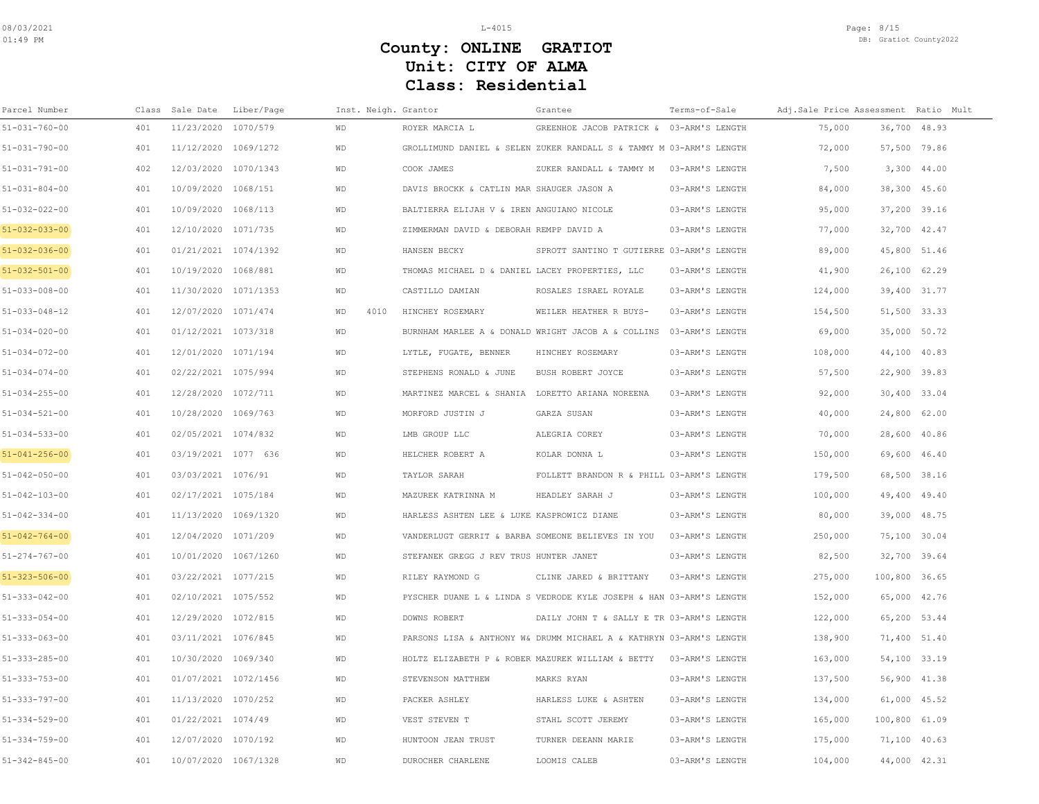| Parcel Number         |     | Class Sale Date Liber/Page | Inst. Neigh. Grantor |                                                   | Grantee                                                             | Terms-of-Sale   | Adj.Sale Price Assessment Ratio Mult |               |
|-----------------------|-----|----------------------------|----------------------|---------------------------------------------------|---------------------------------------------------------------------|-----------------|--------------------------------------|---------------|
| $51 - 031 - 760 - 00$ | 401 | 11/23/2020 1070/579        | <b>WD</b>            | ROYER MARCIA L                                    | GREENHOE JACOB PATRICK & 03-ARM'S LENGTH                            |                 | 75,000                               | 36,700 48.93  |
| $51 - 031 - 790 - 00$ | 401 | 11/12/2020 1069/1272       | <b>WD</b>            |                                                   | GROLLIMUND DANIEL & SELEN ZUKER RANDALL S & TAMMY M 03-ARM'S LENGTH |                 | 72,000                               | 57,500 79.86  |
| $51 - 031 - 791 - 00$ | 402 | 12/03/2020 1070/1343       | <b>WD</b>            | COOK JAMES                                        | ZUKER RANDALL & TAMMY M                                             | 03-ARM'S LENGTH | 7,500                                | 3,300 44.00   |
| $51 - 031 - 804 - 00$ | 401 | 10/09/2020 1068/151        | <b>WD</b>            | DAVIS BROCKK & CATLIN MAR SHAUGER JASON A         |                                                                     | 03-ARM'S LENGTH | 84,000                               | 38,300 45.60  |
| $51 - 032 - 022 - 00$ | 401 | 10/09/2020 1068/113        | <b>WD</b>            | BALTIERRA ELIJAH V & IREN ANGUIANO NICOLE         |                                                                     | 03-ARM'S LENGTH | 95,000                               | 37,200 39.16  |
| $51 - 032 - 033 - 00$ | 401 | 12/10/2020 1071/735        | <b>WD</b>            | ZIMMERMAN DAVID & DEBORAH REMPP DAVID A           |                                                                     | 03-ARM'S LENGTH | 77,000                               | 32,700 42.47  |
| $51 - 032 - 036 - 00$ | 401 | 01/21/2021 1074/1392       | <b>WD</b>            | HANSEN BECKY                                      | SPROTT SANTINO T GUTIERRE 03-ARM'S LENGTH                           |                 | 89,000                               | 45,800 51.46  |
| $51 - 032 - 501 - 00$ | 401 | 10/19/2020 1068/881        | <b>WD</b>            | THOMAS MICHAEL D & DANIEL LACEY PROPERTIES, LLC   |                                                                     | 03-ARM'S LENGTH | 41,900                               | 26,100 62.29  |
| $51 - 033 - 008 - 00$ | 401 | 11/30/2020 1071/1353       | WD                   | CASTILLO DAMIAN                                   | ROSALES ISRAEL ROYALE                                               | 03-ARM'S LENGTH | 124,000                              | 39,400 31.77  |
| $51 - 033 - 048 - 12$ | 401 | 12/07/2020 1071/474        | WD<br>4010           | HINCHEY ROSEMARY                                  | WEILER HEATHER R BUYS-                                              | 03-ARM'S LENGTH | 154,500                              | 51,500 33.33  |
| $51 - 034 - 020 - 00$ | 401 | 01/12/2021 1073/318        | WD                   |                                                   | BURNHAM MARLEE A & DONALD WRIGHT JACOB A & COLLINS 03-ARM'S LENGTH  |                 | 69,000                               | 35,000 50.72  |
| $51 - 034 - 072 - 00$ | 401 | 12/01/2020 1071/194        | <b>WD</b>            | LYTLE, FUGATE, BENNER                             | HINCHEY ROSEMARY                                                    | 03-ARM'S LENGTH | 108,000                              | 44,100 40.83  |
| $51 - 034 - 074 - 00$ | 401 | 02/22/2021 1075/994        | <b>WD</b>            | STEPHENS RONALD & JUNE                            | BUSH ROBERT JOYCE                                                   | 03-ARM'S LENGTH | 57,500                               | 22,900 39.83  |
| $51 - 034 - 255 - 00$ | 401 | 12/28/2020 1072/711        | <b>WD</b>            | MARTINEZ MARCEL & SHANIA LORETTO ARIANA NOREENA   |                                                                     | 03-ARM'S LENGTH | 92,000                               | 30,400 33.04  |
| $51 - 034 - 521 - 00$ | 401 | 10/28/2020 1069/763        | <b>WD</b>            | MORFORD JUSTIN J                                  | GARZA SUSAN                                                         | 03-ARM'S LENGTH | 40,000                               | 24,800 62.00  |
| $51 - 034 - 533 - 00$ | 401 | 02/05/2021 1074/832        | WD                   | LMB GROUP LLC                                     | ALEGRIA COREY                                                       | 03-ARM'S LENGTH | 70,000                               | 28,600 40.86  |
| $51 - 041 - 256 - 00$ | 401 | 03/19/2021 1077 636        | <b>WD</b>            | HELCHER ROBERT A                                  | KOLAR DONNA L                                                       | 03-ARM'S LENGTH | 150,000                              | 69,600 46.40  |
| $51 - 042 - 050 - 00$ | 401 | 03/03/2021 1076/91         | <b>WD</b>            | TAYLOR SARAH                                      | FOLLETT BRANDON R & PHILL 03-ARM'S LENGTH                           |                 | 179,500                              | 68,500 38.16  |
| $51 - 042 - 103 - 00$ | 401 | 02/17/2021 1075/184        | <b>WD</b>            | MAZUREK KATRINNA M                                | HEADLEY SARAH J                                                     | 03-ARM'S LENGTH | 100,000                              | 49,400 49.40  |
| $51 - 042 - 334 - 00$ | 401 | 11/13/2020 1069/1320       | <b>WD</b>            | HARLESS ASHTEN LEE & LUKE KASPROWICZ DIANE        |                                                                     | 03-ARM'S LENGTH | 80,000                               | 39,000 48.75  |
| $51 - 042 - 764 - 00$ | 401 | 12/04/2020 1071/209        | <b>WD</b>            | VANDERLUGT GERRIT & BARBA SOMEONE BELIEVES IN YOU |                                                                     | 03-ARM'S LENGTH | 250,000                              | 75,100 30.04  |
| $51 - 274 - 767 - 00$ | 401 | 10/01/2020 1067/1260       | <b>WD</b>            | STEFANEK GREGG J REV TRUS HUNTER JANET            |                                                                     | 03-ARM'S LENGTH | 82,500                               | 32,700 39.64  |
| $51 - 323 - 506 - 00$ | 401 | 03/22/2021 1077/215        | WD                   | RILEY RAYMOND G                                   | CLINE JARED & BRITTANY                                              | 03-ARM'S LENGTH | 275,000                              | 100,800 36.65 |
| $51 - 333 - 042 - 00$ | 401 | 02/10/2021 1075/552        | WD                   |                                                   | PYSCHER DUANE L & LINDA S VEDRODE KYLE JOSEPH & HAN 03-ARM'S LENGTH |                 | 152,000                              | 65,000 42.76  |
| $51 - 333 - 054 - 00$ | 401 | 12/29/2020 1072/815        | WD                   | DOWNS ROBERT                                      | DAILY JOHN T & SALLY E TR 03-ARM'S LENGTH                           |                 | 122,000                              | 65,200 53.44  |
| $51 - 333 - 063 - 00$ | 401 | 03/11/2021 1076/845        | <b>WD</b>            |                                                   | PARSONS LISA & ANTHONY W& DRUMM MICHAEL A & KATHRYN 03-ARM'S LENGTH |                 | 138,900                              | 71,400 51.40  |
| $51 - 333 - 285 - 00$ | 401 | 10/30/2020 1069/340        | <b>WD</b>            |                                                   | HOLTZ ELIZABETH P & ROBER MAZUREK WILLIAM & BETTY 03-ARM'S LENGTH   |                 | 163,000                              | 54,100 33.19  |
| $51 - 333 - 753 - 00$ | 401 | 01/07/2021 1072/1456       | WD                   | STEVENSON MATTHEW                                 | MARKS RYAN                                                          | 03-ARM'S LENGTH | 137,500                              | 56,900 41.38  |
| $51 - 333 - 797 - 00$ | 401 | 11/13/2020 1070/252        | WD                   | PACKER ASHLEY                                     | HARLESS LUKE & ASHTEN                                               | 03-ARM'S LENGTH | 134,000                              | 61,000 45.52  |
| $51 - 334 - 529 - 00$ | 401 | 01/22/2021 1074/49         | WD                   | VEST STEVEN T                                     | STAHL SCOTT JEREMY                                                  | 03-ARM'S LENGTH | 165,000                              | 100,800 61.09 |
| $51 - 334 - 759 - 00$ | 401 | 12/07/2020 1070/192        | WD                   | HUNTOON JEAN TRUST                                | TURNER DEEANN MARIE                                                 | 03-ARM'S LENGTH | 175,000                              | 71,100 40.63  |
| $51 - 342 - 845 - 00$ | 401 | 10/07/2020 1067/1328       | <b>WD</b>            | <b>DUROCHER CHARLENE</b>                          | LOOMIS CALEB                                                        | 03-ARM'S LENGTH | 104,000                              | 44,000 42.31  |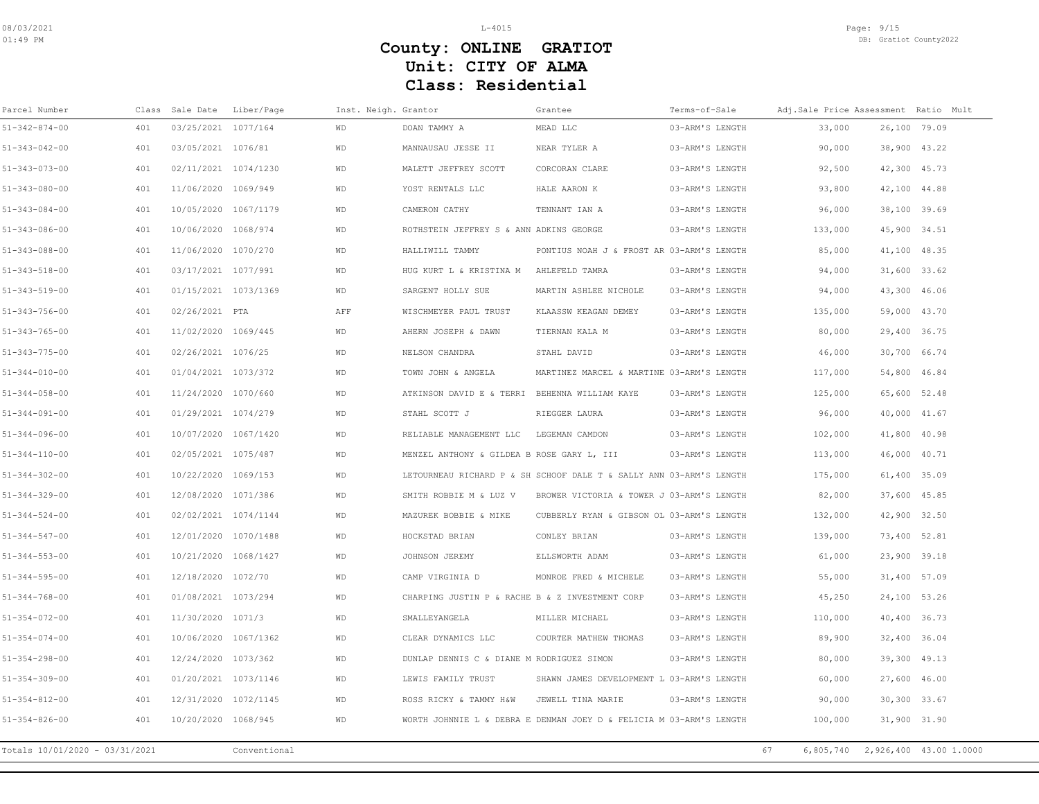| Parcel Number                  |     | Class Sale Date Liber/Page |              | Inst. Neigh. Grantor |                                                 | Grantee                                                             | Terms-of-Sale   |                 | Adj.Sale Price Assessment Ratio Mult |
|--------------------------------|-----|----------------------------|--------------|----------------------|-------------------------------------------------|---------------------------------------------------------------------|-----------------|-----------------|--------------------------------------|
| $51 - 342 - 874 - 00$          | 401 | 03/25/2021 1077/164        |              | <b>WD</b>            | DOAN TAMMY A                                    | MEAD LLC                                                            | 03-ARM'S LENGTH | 33,000          | 26,100 79.09                         |
| $51 - 343 - 042 - 00$          | 401 | 03/05/2021 1076/81         |              | <b>WD</b>            | MANNAUSAU JESSE II                              | NEAR TYLER A                                                        | 03-ARM'S LENGTH | 90,000          | 38,900 43.22                         |
| 51-343-073-00                  | 401 | 02/11/2021 1074/1230       |              | WD                   | MALETT JEFFREY SCOTT                            | CORCORAN CLARE                                                      | 03-ARM'S LENGTH | 92,500          | 42,300 45.73                         |
| 51-343-080-00                  | 401 | 11/06/2020 1069/949        |              | <b>WD</b>            | YOST RENTALS LLC                                | HALE AARON K                                                        | 03-ARM'S LENGTH | 93,800          | 42,100 44.88                         |
| $51 - 343 - 084 - 00$          | 401 | 10/05/2020 1067/1179       |              | <b>WD</b>            | CAMERON CATHY                                   | TENNANT IAN A                                                       | 03-ARM'S LENGTH | 96,000          | 38,100 39.69                         |
| 51-343-086-00                  | 401 | 10/06/2020 1068/974        |              | WD                   | ROTHSTEIN JEFFREY S & ANN ADKINS GEORGE         |                                                                     | 03-ARM'S LENGTH | 133,000         | 45,900 34.51                         |
| 51-343-088-00                  | 401 | 11/06/2020 1070/270        |              | <b>WD</b>            | HALLIWILL TAMMY                                 | PONTIUS NOAH J & FROST AR 03-ARM'S LENGTH                           |                 | 85,000          | 41,100 48.35                         |
| $51 - 343 - 518 - 00$          | 401 | 03/17/2021 1077/991        |              | <b>WD</b>            | HUG KURT L & KRISTINA M AHLEFELD TAMRA          |                                                                     | 03-ARM'S LENGTH | 94,000          | 31,600 33.62                         |
| 51-343-519-00                  | 401 | 01/15/2021 1073/1369       |              | WD                   | SARGENT HOLLY SUE                               | MARTIN ASHLEE NICHOLE                                               | 03-ARM'S LENGTH | 94,000          | 43,300 46.06                         |
| 51-343-756-00                  | 401 | 02/26/2021 PTA             |              | AFF                  | WISCHMEYER PAUL TRUST                           | KLAASSW KEAGAN DEMEY                                                | 03-ARM'S LENGTH | 135,000         | 59,000 43.70                         |
| $51 - 343 - 765 - 00$          | 401 | 11/02/2020 1069/445        |              | WD                   | AHERN JOSEPH & DAWN                             | TIERNAN KALA M                                                      | 03-ARM'S LENGTH | 80,000          | 29,400 36.75                         |
| $51 - 343 - 775 - 00$          | 401 | 02/26/2021 1076/25         |              | <b>WD</b>            | NELSON CHANDRA                                  | STAHL DAVID                                                         | 03-ARM'S LENGTH | 46,000          | 30,700 66.74                         |
| $51 - 344 - 010 - 00$          | 401 | 01/04/2021 1073/372        |              | <b>WD</b>            | TOWN JOHN & ANGELA                              | MARTINEZ MARCEL & MARTINE 03-ARM'S LENGTH                           |                 | 117,000         | 54,800 46.84                         |
| $51 - 344 - 058 - 00$          | 401 | 11/24/2020 1070/660        |              | WD                   | ATKINSON DAVID E & TERRI BEHENNA WILLIAM KAYE   |                                                                     | 03-ARM'S LENGTH | 125,000         | 65,600 52.48                         |
| $51 - 344 - 091 - 00$          | 401 | 01/29/2021 1074/279        |              | <b>WD</b>            | STAHL SCOTT J                                   | RIEGGER LAURA                                                       | 03-ARM'S LENGTH | 96,000          | 40,000 41.67                         |
| $51 - 344 - 096 - 00$          | 401 | 10/07/2020 1067/1420       |              | <b>WD</b>            | RELIABLE MANAGEMENT LLC                         | LEGEMAN CAMDON                                                      | 03-ARM'S LENGTH | 102,000         | 41,800 40.98                         |
| $51 - 344 - 110 - 00$          | 401 | 02/05/2021 1075/487        |              | WD                   | MENZEL ANTHONY & GILDEA B ROSE GARY L, III      |                                                                     | 03-ARM'S LENGTH | 113,000         | 46,000 40.71                         |
| $51 - 344 - 302 - 00$          | 401 | 10/22/2020 1069/153        |              | WD                   |                                                 | LETOURNEAU RICHARD P & SH SCHOOF DALE T & SALLY ANN 03-ARM'S LENGTH |                 | 175,000         | 61,400 35.09                         |
| $51 - 344 - 329 - 00$          | 401 | 12/08/2020 1071/386        |              | <b>WD</b>            | SMITH ROBBIE M & LUZ V                          | BROWER VICTORIA & TOWER J 03-ARM'S LENGTH                           |                 | 82,000          | 37,600 45.85                         |
| $51 - 344 - 524 - 00$          | 401 | 02/02/2021 1074/1144       |              | WD                   | MAZUREK BOBBIE & MIKE                           | CUBBERLY RYAN & GIBSON OL 03-ARM'S LENGTH                           |                 | 132,000         | 42,900 32.50                         |
| $51 - 344 - 547 - 00$          | 401 | 12/01/2020 1070/1488       |              | <b>WD</b>            | HOCKSTAD BRIAN                                  | CONLEY BRIAN                                                        | 03-ARM'S LENGTH | 139,000         | 73,400 52.81                         |
| $51 - 344 - 553 - 00$          | 401 | 10/21/2020 1068/1427       |              | WD                   | JOHNSON JEREMY                                  | ELLSWORTH ADAM                                                      | 03-ARM'S LENGTH | 61,000          | 23,900 39.18                         |
| $51 - 344 - 595 - 00$          | 401 | 12/18/2020 1072/70         |              | WD                   | CAMP VIRGINIA D                                 | MONROE FRED & MICHELE                                               | 03-ARM'S LENGTH | 55,000          | 31,400 57.09                         |
| 51-344-768-00                  | 401 | 01/08/2021 1073/294        |              | WD                   | CHARPING JUSTIN P & RACHE B & Z INVESTMENT CORP |                                                                     | 03-ARM'S LENGTH | 45,250          | 24,100 53.26                         |
| $51 - 354 - 072 - 00$          | 401 | 11/30/2020 1071/3          |              | <b>WD</b>            | SMALLEYANGELA                                   | MILLER MICHAEL                                                      | 03-ARM'S LENGTH | 110,000         | 40,400 36.73                         |
| $51 - 354 - 074 - 00$          | 401 | 10/06/2020 1067/1362       |              | <b>WD</b>            | CLEAR DYNAMICS LLC                              | COURTER MATHEW THOMAS                                               | 03-ARM'S LENGTH | 89,900          | 32,400 36.04                         |
| $51 - 354 - 298 - 00$          | 401 | 12/24/2020 1073/362        |              | WD                   | DUNLAP DENNIS C & DIANE M RODRIGUEZ SIMON       |                                                                     | 03-ARM'S LENGTH | 80,000          | 39,300 49.13                         |
| 51-354-309-00                  | 401 | 01/20/2021 1073/1146       |              | WD                   | LEWIS FAMILY TRUST                              | SHAWN JAMES DEVELOPMENT L 03-ARM'S LENGTH                           |                 | 60,000          | 27,600 46.00                         |
| $51 - 354 - 812 - 00$          | 401 | 12/31/2020 1072/1145       |              | WD                   | ROSS RICKY & TAMMY H&W                          | JEWELL TINA MARIE                                                   | 03-ARM'S LENGTH | 90,000          | 30,300 33.67                         |
| $51 - 354 - 826 - 00$          | 401 | 10/20/2020 1068/945        |              | WD                   |                                                 | WORTH JOHNNIE L & DEBRA E DENMAN JOEY D & FELICIA M 03-ARM'S LENGTH |                 | 100,000         | 31,900 31.90                         |
| Totals 10/01/2020 - 03/31/2021 |     |                            | Conventional |                      |                                                 |                                                                     |                 | 67<br>6,805,740 | 2,926,400 43.00 1.0000               |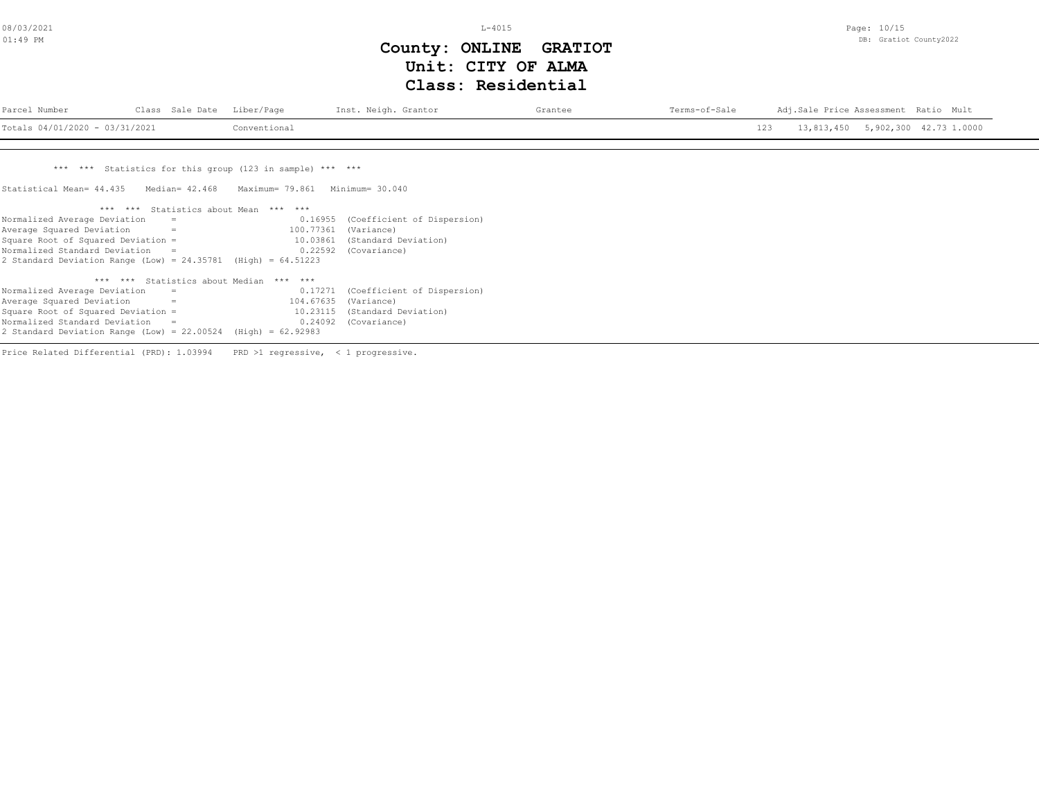L-4015

Page: 10/15 DB: Gratiot County2022

# **Class: Residential Unit: CITY OF ALMA County: ONLINE GRATIOT**

| Parcel Number                    | Class Sale Date Liber/Page | Inst. Neigh. Grantor | Grantee | Terms-of-Sale |     | Adj.Sale Price Assessment Ratio Mult |  |
|----------------------------------|----------------------------|----------------------|---------|---------------|-----|--------------------------------------|--|
| Totals $04/01/2020 - 03/31/2021$ | Conventional               |                      |         |               | 123 | 13,813,450 5,902,300 42.73 1.0000    |  |
|                                  |                            |                      |         |               |     |                                      |  |

\*\*\* \*\*\* Statistics for this group (123 in sample) \*\*\* \*\*\*

Statistical Mean= 44.435 Median= 42.468 Maximum= 79.861 Minimum= 30.040

| $***$<br>$***$ |                                                                   |
|----------------|-------------------------------------------------------------------|
| 0.16955        | (Coefficient of Dispersion)                                       |
| 100.77361      | (Variance)                                                        |
| 10.03861       | (Standard Deviation)                                              |
| 0.22592        | (Covariance)                                                      |
|                |                                                                   |
| $***$<br>$***$ |                                                                   |
| 0.17271        | (Coefficient of Dispersion)                                       |
|                |                                                                   |
| 104.67635      | (Variance)                                                        |
| 10.23115       | (Standard Deviation)                                              |
| 0.24092        | (Covariance)                                                      |
|                | 2 Standard Deviation Range (Low) = $24.35781$ (High) = $64.51223$ |

Price Related Differential (PRD): 1.03994 PRD >1 regressive, < 1 progressive.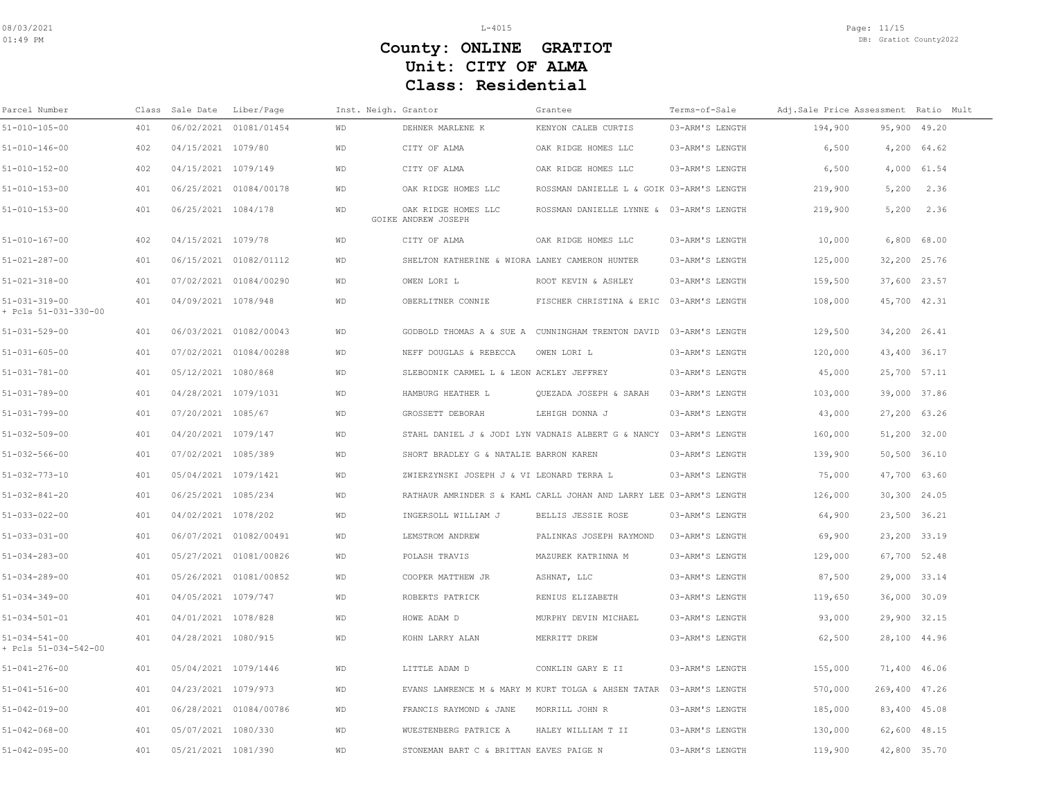| Parcel Number                                 |     | Class Sale Date      | Liber/Page             | Inst. Neigh. Grantor |                                                | Grantee                                                             | Terms-of-Sale   | Adj.Sale Price Assessment Ratio Mult |       |                 |  |
|-----------------------------------------------|-----|----------------------|------------------------|----------------------|------------------------------------------------|---------------------------------------------------------------------|-----------------|--------------------------------------|-------|-----------------|--|
| $51 - 010 - 105 - 00$                         | 401 |                      | 06/02/2021 01081/01454 | <b>WD</b>            | DEHNER MARLENE K                               | KENYON CALEB CURTIS                                                 | 03-ARM'S LENGTH | 194,900                              |       | 95,900 49.20    |  |
| 51-010-146-00                                 | 402 | 04/15/2021 1079/80   |                        | <b>WD</b>            | CITY OF ALMA                                   | OAK RIDGE HOMES LLC                                                 | 03-ARM'S LENGTH | 6,500                                |       | 4,200 64.62     |  |
| $51 - 010 - 152 - 00$                         | 402 | 04/15/2021 1079/149  |                        | WD                   | CITY OF ALMA                                   | OAK RIDGE HOMES LLC                                                 | 03-ARM'S LENGTH | 6,500                                |       | 4,000 61.54     |  |
| $51 - 010 - 153 - 00$                         | 401 |                      | 06/25/2021 01084/00178 | <b>WD</b>            | OAK RIDGE HOMES LLC                            | ROSSMAN DANIELLE L & GOIK 03-ARM'S LENGTH                           |                 | 219,900                              | 5,200 | 2.36            |  |
| 51-010-153-00                                 | 401 | 06/25/2021 1084/178  |                        | WD                   | OAK RIDGE HOMES LLC<br>GOIKE ANDREW JOSEPH     | ROSSMAN DANIELLE LYNNE & 03-ARM'S LENGTH                            |                 | 219,900                              | 5,200 | 2.36            |  |
| 51-010-167-00                                 | 402 | 04/15/2021 1079/78   |                        | <b>WD</b>            | CITY OF ALMA                                   | OAK RIDGE HOMES LLC                                                 | 03-ARM'S LENGTH | 10,000                               |       | $6,800$ $68.00$ |  |
| 51-021-287-00                                 | 401 |                      | 06/15/2021 01082/01112 | <b>WD</b>            | SHELTON KATHERINE & WIORA LANEY CAMERON HUNTER |                                                                     | 03-ARM'S LENGTH | 125,000                              |       | 32,200 25.76    |  |
| 51-021-318-00                                 | 401 |                      | 07/02/2021 01084/00290 | WD                   | OWEN LORI L                                    | ROOT KEVIN & ASHLEY                                                 | 03-ARM'S LENGTH | 159,500                              |       | 37,600 23.57    |  |
| 51-031-319-00<br>+ Pcls 51-031-330-00         | 401 | 04/09/2021 1078/948  |                        | WD                   | OBERLITNER CONNIE                              | FISCHER CHRISTINA & ERIC 03-ARM'S LENGTH                            |                 | 108,000                              |       | 45,700 42.31    |  |
| 51-031-529-00                                 | 401 |                      | 06/03/2021 01082/00043 | <b>WD</b>            |                                                | GODBOLD THOMAS A & SUE A CUNNINGHAM TRENTON DAVID                   | 03-ARM'S LENGTH | 129,500                              |       | 34,200 26.41    |  |
| $51 - 031 - 605 - 00$                         | 401 |                      | 07/02/2021 01084/00288 | <b>WD</b>            | NEFF DOUGLAS & REBECCA                         | OWEN LORI L                                                         | 03-ARM'S LENGTH | 120,000                              |       | 43,400 36.17    |  |
| $51 - 031 - 781 - 00$                         | 401 | 05/12/2021 1080/868  |                        | <b>WD</b>            | SLEBODNIK CARMEL L & LEON ACKLEY JEFFREY       |                                                                     | 03-ARM'S LENGTH | 45,000                               |       | 25,700 57.11    |  |
| 51-031-789-00                                 | 401 | 04/28/2021 1079/1031 |                        | <b>WD</b>            | HAMBURG HEATHER L                              | QUEZADA JOSEPH & SARAH                                              | 03-ARM'S LENGTH | 103,000                              |       | 39,000 37.86    |  |
| 51-031-799-00                                 | 401 | 07/20/2021 1085/67   |                        | <b>WD</b>            | GROSSETT DEBORAH                               | LEHIGH DONNA J                                                      | 03-ARM'S LENGTH | 43,000                               |       | 27,200 63.26    |  |
| 51-032-509-00                                 | 401 | 04/20/2021 1079/147  |                        | WD                   |                                                | STAHL DANIEL J & JODI LYN VADNAIS ALBERT G & NANCY 03-ARM'S LENGTH  |                 | 160,000                              |       | 51,200 32.00    |  |
| $51 - 032 - 566 - 00$                         | 401 | 07/02/2021 1085/389  |                        | <b>WD</b>            | SHORT BRADLEY G & NATALIE BARRON KAREN         |                                                                     | 03-ARM'S LENGTH | 139,900                              |       | 50,500 36.10    |  |
| 51-032-773-10                                 | 401 | 05/04/2021 1079/1421 |                        | WD                   | ZWIERZYNSKI JOSEPH J & VI LEONARD TERRA L      |                                                                     | 03-ARM'S LENGTH | 75,000                               |       | 47,700 63.60    |  |
| $51 - 032 - 841 - 20$                         | 401 | 06/25/2021 1085/234  |                        | <b>WD</b>            |                                                | RATHAUR AMRINDER S & KAML CARLL JOHAN AND LARRY LEE 03-ARM'S LENGTH |                 | 126,000                              |       | 30,300 24.05    |  |
| 51-033-022-00                                 | 401 | 04/02/2021 1078/202  |                        | <b>WD</b>            | INGERSOLL WILLIAM J                            | BELLIS JESSIE ROSE                                                  | 03-ARM'S LENGTH | 64,900                               |       | 23,500 36.21    |  |
| $51 - 033 - 031 - 00$                         | 401 |                      | 06/07/2021 01082/00491 | <b>WD</b>            | LEMSTROM ANDREW                                | PALINKAS JOSEPH RAYMOND                                             | 03-ARM'S LENGTH | 69,900                               |       | 23,200 33.19    |  |
| 51-034-283-00                                 | 401 |                      | 05/27/2021 01081/00826 | <b>WD</b>            | POLASH TRAVIS                                  | MAZUREK KATRINNA M                                                  | 03-ARM'S LENGTH | 129,000                              |       | 67,700 52.48    |  |
| 51-034-289-00                                 | 401 |                      | 05/26/2021 01081/00852 | WD                   | COOPER MATTHEW JR                              | ASHNAT, LLC                                                         | 03-ARM'S LENGTH | 87,500                               |       | 29,000 33.14    |  |
| 51-034-349-00                                 | 401 | 04/05/2021 1079/747  |                        | <b>WD</b>            | ROBERTS PATRICK                                | RENIUS ELIZABETH                                                    | 03-ARM'S LENGTH | 119,650                              |       | 36,000 30.09    |  |
| $51 - 034 - 501 - 01$                         | 401 | 04/01/2021 1078/828  |                        | <b>WD</b>            | HOWE ADAM D                                    | MURPHY DEVIN MICHAEL                                                | 03-ARM'S LENGTH | 93,000                               |       | 29,900 32.15    |  |
| $51 - 034 - 541 - 00$<br>+ Pcls 51-034-542-00 | 401 | 04/28/2021 1080/915  |                        | <b>WD</b>            | KOHN LARRY ALAN                                | MERRITT DREW                                                        | 03-ARM'S LENGTH | 62,500                               |       | 28,100 44.96    |  |
| $51 - 041 - 276 - 00$                         | 401 | 05/04/2021 1079/1446 |                        | <b>WD</b>            | LITTLE ADAM D                                  | CONKLIN GARY E II                                                   | 03-ARM'S LENGTH | 155,000                              |       | 71,400 46.06    |  |
| $51 - 041 - 516 - 00$                         | 401 | 04/23/2021 1079/973  |                        | <b>WD</b>            |                                                | EVANS LAWRENCE M & MARY M KURT TOLGA & AHSEN TATAR 03-ARM'S LENGTH  |                 | 570,000                              |       | 269,400 47.26   |  |
| 51-042-019-00                                 | 401 |                      | 06/28/2021 01084/00786 | WD                   | FRANCIS RAYMOND & JANE                         | MORRILL JOHN R                                                      | 03-ARM'S LENGTH | 185,000                              |       | 83,400 45.08    |  |
| $51 - 042 - 068 - 00$                         | 401 | 05/07/2021 1080/330  |                        | <b>WD</b>            | WUESTENBERG PATRICE A                          | HALEY WILLIAM T II                                                  | 03-ARM'S LENGTH | 130,000                              |       | 62,600 48.15    |  |
| 51-042-095-00                                 | 401 | 05/21/2021 1081/390  |                        | <b>WD</b>            | STONEMAN BART C & BRITTAN EAVES PAIGE N        |                                                                     | 03-ARM'S LENGTH | 119,900                              |       | 42,800 35.70    |  |
|                                               |     |                      |                        |                      |                                                |                                                                     |                 |                                      |       |                 |  |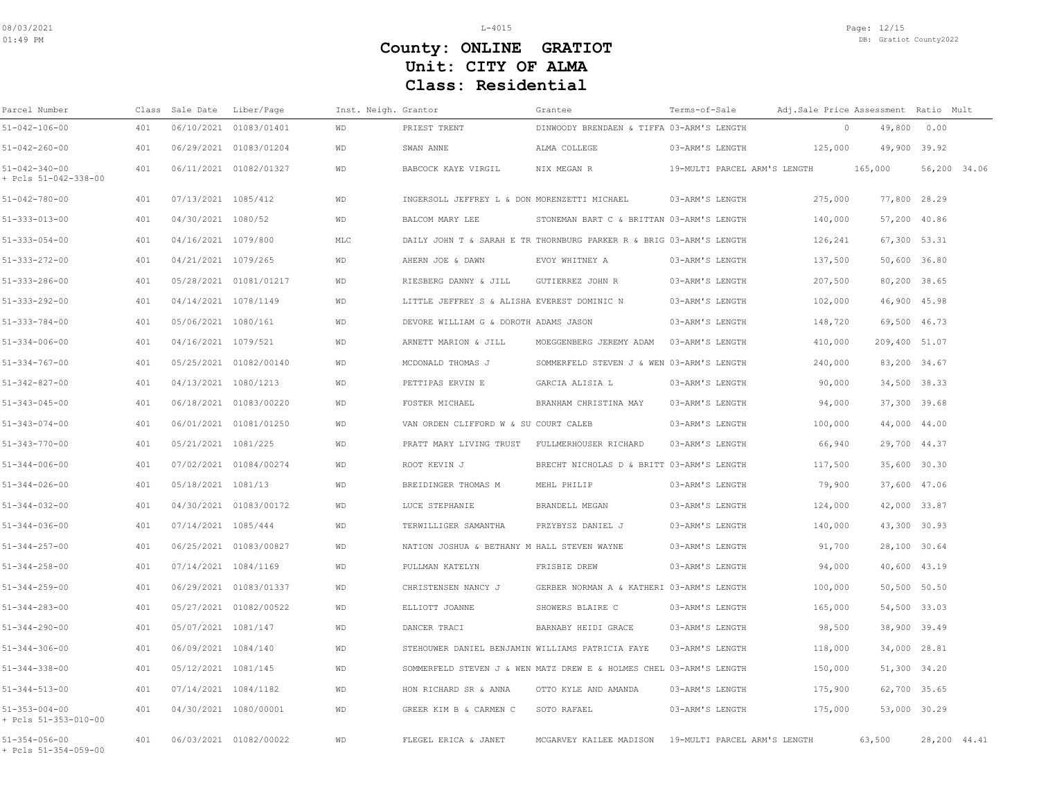| Parcel Number                                 | Class | Sale Date Liber/Page  |                        | Inst. Neigh. Grantor |                                                  | Grantee                                                             | Terms-of-Sale                |         | Adj.Sale Price Assessment Ratio Mult |              |
|-----------------------------------------------|-------|-----------------------|------------------------|----------------------|--------------------------------------------------|---------------------------------------------------------------------|------------------------------|---------|--------------------------------------|--------------|
| $51 - 042 - 106 - 00$                         | 401   |                       | 06/10/2021 01083/01401 | <b>WD</b>            | PRIEST TRENT                                     | DINWOODY BRENDAEN & TIFFA 03-ARM'S LENGTH                           |                              | $\circ$ | 49,800                               | 0.00         |
| $51 - 042 - 260 - 00$                         | 401   |                       | 06/29/2021 01083/01204 | <b>WD</b>            | SWAN ANNE                                        | ALMA COLLEGE                                                        | 03-ARM'S LENGTH              | 125,000 | 49,900 39.92                         |              |
| $51 - 042 - 340 - 00$<br>+ Pcls 51-042-338-00 | 401   |                       | 06/11/2021 01082/01327 | <b>WD</b>            | BABCOCK KAYE VIRGIL                              | NIX MEGAN R                                                         | 19-MULTI PARCEL ARM'S LENGTH |         | 165,000                              | 56,200 34.06 |
| $51 - 042 - 780 - 00$                         | 401   | 07/13/2021 1085/412   |                        | <b>WD</b>            | INGERSOLL JEFFREY L & DON MORENZETTI MICHAEL     |                                                                     | 03-ARM'S LENGTH              | 275,000 | 77,800 28.29                         |              |
| $51 - 333 - 013 - 00$                         | 401   | 04/30/2021 1080/52    |                        | <b>WD</b>            | BALCOM MARY LEE                                  | STONEMAN BART C & BRITTAN 03-ARM'S LENGTH                           |                              | 140,000 | 57,200 40.86                         |              |
| $51 - 333 - 054 - 00$                         | 401   | 04/16/2021 1079/800   |                        | MLC                  |                                                  | DAILY JOHN T & SARAH E TR THORNBURG PARKER R & BRIG 03-ARM'S LENGTH |                              | 126,241 | 67,300 53.31                         |              |
| $51 - 333 - 272 - 00$                         | 401   | 04/21/2021 1079/265   |                        | WD                   | AHERN JOE & DAWN                                 | EVOY WHITNEY A                                                      | 03-ARM'S LENGTH              | 137,500 | 50,600 36.80                         |              |
| $51 - 333 - 286 - 00$                         | 401   |                       | 05/28/2021 01081/01217 | <b>WD</b>            | RIESBERG DANNY & JILL                            | GUTIERREZ JOHN R                                                    | 03-ARM'S LENGTH              | 207,500 | 80,200 38.65                         |              |
| $51 - 333 - 292 - 00$                         | 401   | 04/14/2021 1078/1149  |                        | WD                   | LITTLE JEFFREY S & ALISHA EVEREST DOMINIC N      |                                                                     | 03-ARM'S LENGTH              | 102,000 | 46,900 45.98                         |              |
| $51 - 333 - 784 - 00$                         | 401   | 05/06/2021 1080/161   |                        | WD                   | DEVORE WILLIAM G & DOROTH ADAMS JASON            |                                                                     | 03-ARM'S LENGTH              | 148,720 | 69,500 46.73                         |              |
| $51 - 334 - 006 - 00$                         | 401   | 04/16/2021 1079/521   |                        | WD                   | ARNETT MARION & JILL                             | MOEGGENBERG JEREMY ADAM                                             | 03-ARM'S LENGTH              | 410,000 | 209,400 51.07                        |              |
| $51 - 334 - 767 - 00$                         | 401   |                       | 05/25/2021 01082/00140 | WD                   | MCDONALD THOMAS J                                | SOMMERFELD STEVEN J & WEN 03-ARM'S LENGTH                           |                              | 240,000 | 83,200 34.67                         |              |
| $51 - 342 - 827 - 00$                         | 401   | 04/13/2021 1080/1213  |                        | <b>WD</b>            | PETTIPAS ERVIN E                                 | GARCIA ALISIA L                                                     | 03-ARM'S LENGTH              | 90,000  | 34,500 38.33                         |              |
| $51 - 343 - 045 - 00$                         | 401   |                       | 06/18/2021 01083/00220 | <b>WD</b>            | FOSTER MICHAEL                                   | BRANHAM CHRISTINA MAY                                               | 03-ARM'S LENGTH              | 94,000  | 37,300 39.68                         |              |
| $51 - 343 - 074 - 00$                         | 401   |                       | 06/01/2021 01081/01250 | WD                   | VAN ORDEN CLIFFORD W & SU COURT CALEB            |                                                                     | 03-ARM'S LENGTH              | 100,000 | 44,000 44.00                         |              |
| $51 - 343 - 770 - 00$                         | 401   | 05/21/2021 1081/225   |                        | <b>WD</b>            | PRATT MARY LIVING TRUST                          | FULLMERHOUSER RICHARD                                               | 03-ARM'S LENGTH              | 66,940  | 29,700 44.37                         |              |
| $51 - 344 - 006 - 00$                         | 401   |                       | 07/02/2021 01084/00274 | WD                   | ROOT KEVIN J                                     | BRECHT NICHOLAS D & BRITT 03-ARM'S LENGTH                           |                              | 117,500 | 35,600 30.30                         |              |
| $51 - 344 - 026 - 00$                         | 401   | 05/18/2021 1081/13    |                        | WD                   | BREIDINGER THOMAS M                              | MEHL PHILIP                                                         | 03-ARM'S LENGTH              | 79,900  | 37,600 47.06                         |              |
| $51 - 344 - 032 - 00$                         | 401   |                       | 04/30/2021 01083/00172 | <b>WD</b>            | LUCE STEPHANIE                                   | BRANDELL MEGAN                                                      | 03-ARM'S LENGTH              | 124,000 | 42,000 33.87                         |              |
| $51 - 344 - 036 - 00$                         | 401   | 07/14/2021 1085/444   |                        | WD                   | TERWILLIGER SAMANTHA                             | PRZYBYSZ DANIEL J                                                   | 03-ARM'S LENGTH              | 140,000 | 43,300 30.93                         |              |
| $51 - 344 - 257 - 00$                         | 401   |                       | 06/25/2021 01083/00827 | WD                   | NATION JOSHUA & BETHANY M HALL STEVEN WAYNE      |                                                                     | 03-ARM'S LENGTH              | 91,700  | 28,100 30.64                         |              |
| $51 - 344 - 258 - 00$                         | 401   | 07/14/2021 1084/1169  |                        | <b>WD</b>            | PULLMAN KATELYN                                  | FRISBIE DREW                                                        | 03-ARM'S LENGTH              | 94,000  | 40,600 43.19                         |              |
| $51 - 344 - 259 - 00$                         | 401   |                       | 06/29/2021 01083/01337 | WD                   | CHRISTENSEN NANCY J                              | GERBER NORMAN A & KATHERI 03-ARM'S LENGTH                           |                              | 100,000 | 50,500 50.50                         |              |
| $51 - 344 - 283 - 00$                         | 401   |                       | 05/27/2021 01082/00522 | <b>WD</b>            | ELLIOTT JOANNE                                   | SHOWERS BLAIRE C                                                    | 03-ARM'S LENGTH              | 165,000 | 54,500 33.03                         |              |
| $51 - 344 - 290 - 00$                         | 401   | 05/07/2021 1081/147   |                        | <b>WD</b>            | DANCER TRACI                                     | BARNABY HEIDI GRACE                                                 | 03-ARM'S LENGTH              | 98,500  | 38,900 39.49                         |              |
| $51 - 344 - 306 - 00$                         | 401   | 06/09/2021 1084/140   |                        | WD                   | STEHOUWER DANIEL BENJAMIN WILLIAMS PATRICIA FAYE |                                                                     | 03-ARM'S LENGTH              | 118,000 | 34,000 28.81                         |              |
| $51 - 344 - 338 - 00$                         | 401   | 05/12/2021 1081/145   |                        | <b>WD</b>            |                                                  | SOMMERFELD STEVEN J & WEN MATZ DREW E & HOLMES CHEL 03-ARM'S LENGTH |                              | 150,000 | 51,300 34.20                         |              |
| $51 - 344 - 513 - 00$                         | 401   | 07/14/2021 1084/1182  |                        | WD                   | HON RICHARD SR & ANNA                            | OTTO KYLE AND AMANDA                                                | 03-ARM'S LENGTH              | 175,900 | 62,700 35.65                         |              |
| $51 - 353 - 004 - 00$<br>+ Pcls 51-353-010-00 | 401   | 04/30/2021 1080/00001 |                        | <b>WD</b>            | GREER KIM B & CARMEN C                           | SOTO RAFAEL                                                         | 03-ARM'S LENGTH              | 175,000 | 53,000 30.29                         |              |
| $51 - 354 - 056 - 00$<br>+ Pcls 51-354-059-00 | 401   |                       | 06/03/2021 01082/00022 | <b>WD</b>            | FLEGEL ERICA & JANET                             | MCGARVEY KAILEE MADISON                                             | 19-MULTI PARCEL ARM'S LENGTH |         | 63,500                               | 28,200 44.41 |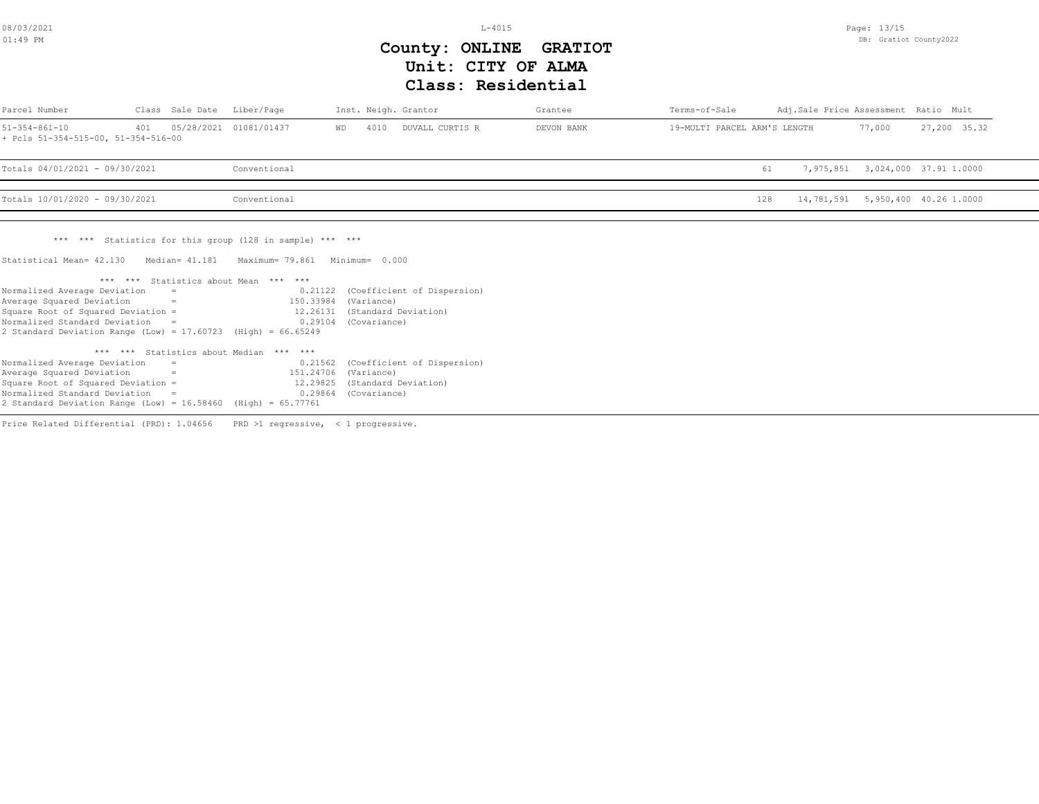L-4015

Page: 13/15 DB: Gratiot County2022

## **Class: Residential Unit: CITY OF ALMA County: ONLINE GRATIOT**

| Parcel Number                                                                                                                                                                                                                                                            |                      | Class Sale Date Liber/Page |                                                                                                                                                                                                    | Inst. Neigh. Grantor                               |                             | Grantee    | Terms-of-Sale                | Adj.Sale Price Assessment Ratio Mult |        |                                   |
|--------------------------------------------------------------------------------------------------------------------------------------------------------------------------------------------------------------------------------------------------------------------------|----------------------|----------------------------|----------------------------------------------------------------------------------------------------------------------------------------------------------------------------------------------------|----------------------------------------------------|-----------------------------|------------|------------------------------|--------------------------------------|--------|-----------------------------------|
| $51 - 354 - 861 - 10$<br>+ Pcls 51-354-515-00, 51-354-516-00                                                                                                                                                                                                             | 401                  |                            | 05/28/2021 01081/01437                                                                                                                                                                             | 4010<br>WD                                         | DUVALL CURTIS R             | DEVON BANK | 19-MULTI PARCEL ARM'S LENGTH |                                      | 77,000 | 27,200 35.32                      |
| Totals 04/01/2021 - 09/30/2021                                                                                                                                                                                                                                           |                      |                            | Conventional                                                                                                                                                                                       |                                                    |                             |            |                              | 61                                   |        | 7,975,851 3,024,000 37.91 1.0000  |
| Totals 10/01/2020 - 09/30/2021                                                                                                                                                                                                                                           |                      |                            | Conventional                                                                                                                                                                                       |                                                    |                             |            |                              | 128                                  |        | 14,781,591 5,950,400 40.26 1.0000 |
| Statistical Mean= 42.130<br>Normalized Average Deviation<br>Average Squared Deviation<br>Square Root of Squared Deviation =<br>Normalized Standard Deviation $=$                                                                                                         |                      | $=$<br>$=$                 | *** *** Statistics for this group (128 in sample) *** ***<br>Median= 41.181 Maximum= 79.861 Minimum= 0.000<br>*** *** Statistics about Mean *** ***<br>0.21122<br>150.33984<br>12.26131<br>0.29104 | (Variance)<br>(Standard Deviation)<br>(Covariance) | (Coefficient of Dispersion) |            |                              |                                      |        |                                   |
| 2 Standard Deviation Range (Low) = $17.60723$ (High) = $66.65249$<br>Normalized Average Deviation<br>Average Squared Deviation<br>Square Root of Squared Deviation =<br>Normalized Standard Deviation =<br>2 Standard Deviation Range (Low) = 16.58460 (High) = 65.77761 | <b>Service State</b> | $\equiv$                   | *** *** Statistics about Median *** ***<br>0.21562<br>151.24706<br>12.29825<br>0.29864                                                                                                             | (Variance)<br>(Standard Deviation)<br>(Covariance) | (Coefficient of Dispersion) |            |                              |                                      |        |                                   |

Price Related Differential (PRD): 1.04656 PRD >1 regressive, < 1 progressive.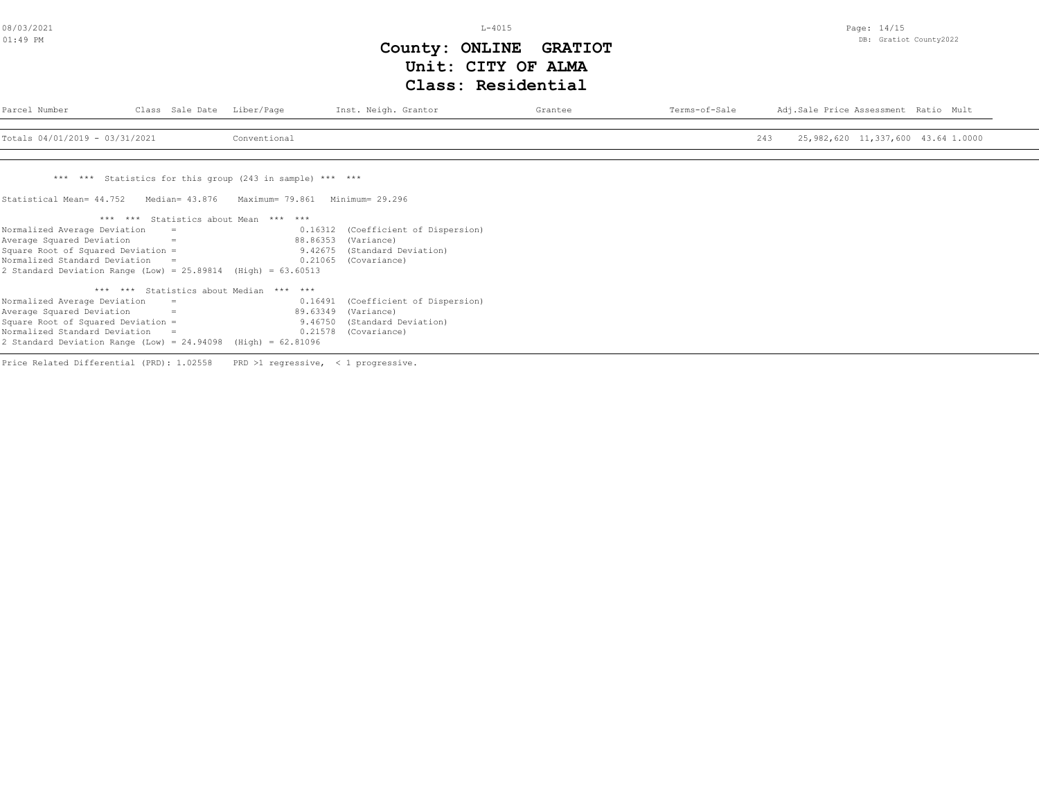L-4015

Page: 14/15 DB: Gratiot County2022

# **Class: Residential Unit: CITY OF ALMA County: ONLINE GRATIOT**

| Parcel Number                                                     |                | Class Sale Date Liber/Page                                | Inst. Neigh. Grantor                | Grantee | Terms-of-Sale | Adj.Sale Price Assessment Ratio Mult      |
|-------------------------------------------------------------------|----------------|-----------------------------------------------------------|-------------------------------------|---------|---------------|-------------------------------------------|
| Totals 04/01/2019 - 03/31/2021                                    |                | Conventional                                              |                                     |         |               | 25,982,620 11,337,600 43.64 1.0000<br>243 |
|                                                                   |                |                                                           |                                     |         |               |                                           |
|                                                                   |                | *** *** Statistics for this group (243 in sample) *** *** |                                     |         |               |                                           |
| Statistical Mean= 44.752                                          | Median= 43.876 | Maximum= 79.861                                           | Minimum= 29.296                     |         |               |                                           |
|                                                                   |                | *** *** Statistics about Mean *** ***                     |                                     |         |               |                                           |
| Normalized Average Deviation                                      |                |                                                           | 0.16312 (Coefficient of Dispersion) |         |               |                                           |
| Average Squared Deviation                                         | $=$            |                                                           | 88.86353 (Variance)                 |         |               |                                           |
| Square Root of Squared Deviation =                                |                |                                                           | 9.42675 (Standard Deviation)        |         |               |                                           |
| Normalized Standard Deviation                                     | $\sim$ $\pm$   | 0.21065                                                   | (Covariance)                        |         |               |                                           |
| 2 Standard Deviation Range (Low) = $25.89814$ (High) = $63.60513$ |                |                                                           |                                     |         |               |                                           |
|                                                                   |                | *** *** Statistics about Median *** ***                   |                                     |         |               |                                           |
| Normalized Average Deviation                                      | $=$            |                                                           | 0.16491 (Coefficient of Dispersion) |         |               |                                           |
| Average Squared Deviation                                         | $=$            |                                                           | 89.63349 (Variance)                 |         |               |                                           |
| Square Root of Squared Deviation =                                |                |                                                           | 9.46750 (Standard Deviation)        |         |               |                                           |
| Normalized Standard Deviation                                     | $=$            | 0.21578                                                   | (Covariance)                        |         |               |                                           |
| 2 Standard Deviation Range (Low) = $24.94098$ (High) = $62.81096$ |                |                                                           |                                     |         |               |                                           |
|                                                                   |                |                                                           |                                     |         |               |                                           |

Price Related Differential (PRD): 1.02558 PRD >1 regressive, < 1 progressive.